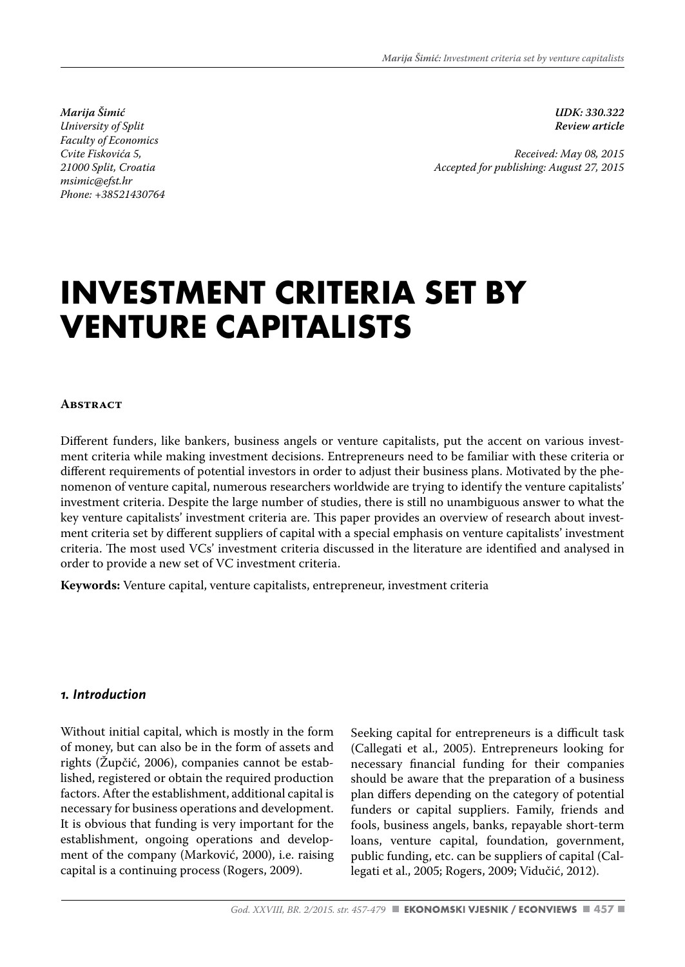*Marija Šimić University of Split Faculty of Economics Cvite Fiskovića 5, 21000 Split, Croatia msimic@efst.hr Phone: +38521430764* *UDK: 330.322 Review article* 

*Received: May 08, 2015 Accepted for publishing: August 27, 2015*

# **INVESTMENT CRITERIA SET BY VENTURE CAPITALISTS**

#### **Abstract**

Different funders, like bankers, business angels or venture capitalists, put the accent on various investment criteria while making investment decisions. Entrepreneurs need to be familiar with these criteria or different requirements of potential investors in order to adjust their business plans. Motivated by the phenomenon of venture capital, numerous researchers worldwide are trying to identify the venture capitalists' investment criteria. Despite the large number of studies, there is still no unambiguous answer to what the key venture capitalists' investment criteria are. This paper provides an overview of research about investment criteria set by different suppliers of capital with a special emphasis on venture capitalists' investment criteria. The most used VCs' investment criteria discussed in the literature are identified and analysed in order to provide a new set of VC investment criteria.

**Keywords:** Venture capital, venture capitalists, entrepreneur, investment criteria

#### *1. Introduction*

Without initial capital, which is mostly in the form of money, but can also be in the form of assets and rights (Župčić, 2006), companies cannot be established, registered or obtain the required production factors. After the establishment, additional capital is necessary for business operations and development. It is obvious that funding is very important for the establishment, ongoing operations and development of the company (Marković, 2000), i.e. raising capital is a continuing process (Rogers, 2009).

Seeking capital for entrepreneurs is a difficult task (Callegati et al., 2005). Entrepreneurs looking for necessary financial funding for their companies should be aware that the preparation of a business plan differs depending on the category of potential funders or capital suppliers. Family, friends and fools, business angels, banks, repayable short-term loans, venture capital, foundation, government, public funding, etc. can be suppliers of capital (Callegati et al., 2005; Rogers, 2009; Vidučić, 2012).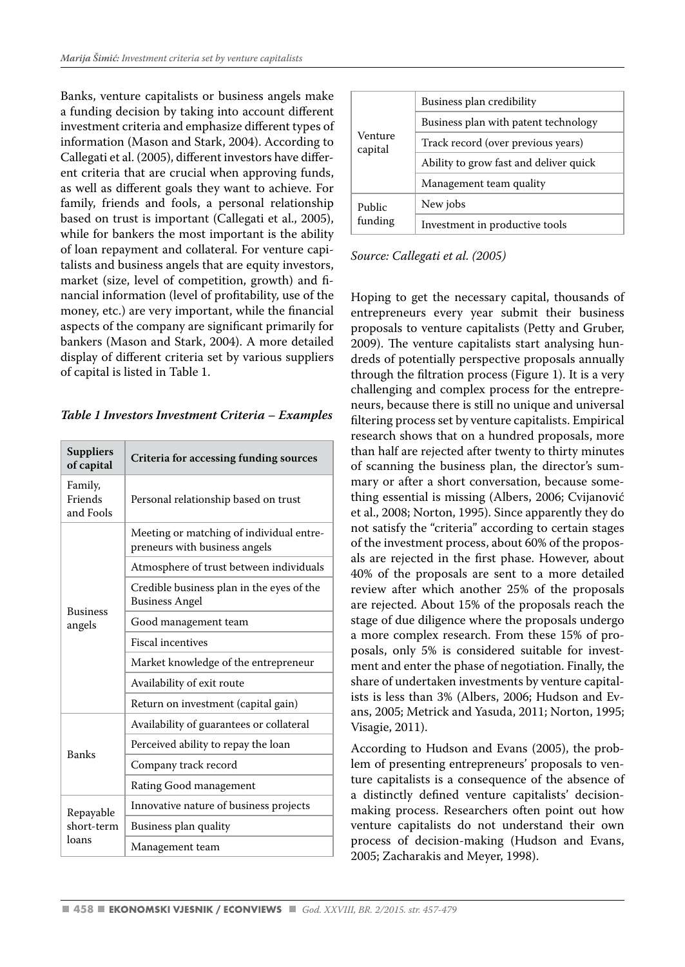Banks, venture capitalists or business angels make a funding decision by taking into account different investment criteria and emphasize different types of information (Mason and Stark, 2004). According to Callegati et al. (2005), different investors have different criteria that are crucial when approving funds, as well as different goals they want to achieve. For family, friends and fools, a personal relationship based on trust is important (Callegati et al., 2005), while for bankers the most important is the ability of loan repayment and collateral. For venture capitalists and business angels that are equity investors, market (size, level of competition, growth) and financial information (level of profitability, use of the money, etc.) are very important, while the financial aspects of the company are significant primarily for bankers (Mason and Stark, 2004). A more detailed display of different criteria set by various suppliers of capital is listed in Table 1.

*Table 1 Investors Investment Criteria – Examples*

| <b>Suppliers</b><br>of capital  | Criteria for accessing funding sources                                    |
|---------------------------------|---------------------------------------------------------------------------|
| Family,<br>Friends<br>and Fools | Personal relationship based on trust                                      |
|                                 | Meeting or matching of individual entre-<br>preneurs with business angels |
|                                 | Atmosphere of trust between individuals                                   |
|                                 | Credible business plan in the eyes of the<br><b>Business Angel</b>        |
| <b>Business</b><br>angels       | Good management team                                                      |
|                                 | <b>Fiscal incentives</b>                                                  |
|                                 | Market knowledge of the entrepreneur                                      |
|                                 | Availability of exit route                                                |
|                                 | Return on investment (capital gain)                                       |
|                                 | Availability of guarantees or collateral                                  |
| <b>Banks</b>                    | Perceived ability to repay the loan                                       |
|                                 | Company track record                                                      |
|                                 | Rating Good management                                                    |
| Repayable                       | Innovative nature of business projects                                    |
| short-term                      | Business plan quality                                                     |
| loans                           | Management team                                                           |

|                    | Business plan credibility              |
|--------------------|----------------------------------------|
|                    | Business plan with patent technology   |
| Venture<br>capital | Track record (over previous years)     |
|                    | Ability to grow fast and deliver quick |
|                    | Management team quality                |
| Public             | New jobs                               |
| funding            | Investment in productive tools         |

*Source: Callegati et al. (2005)*

Hoping to get the necessary capital, thousands of entrepreneurs every year submit their business proposals to venture capitalists (Petty and Gruber, 2009). The venture capitalists start analysing hundreds of potentially perspective proposals annually through the filtration process (Figure 1). It is a very challenging and complex process for the entrepreneurs, because there is still no unique and universal filtering process set by venture capitalists. Empirical research shows that on a hundred proposals, more than half are rejected after twenty to thirty minutes of scanning the business plan, the director's summary or after a short conversation, because something essential is missing (Albers, 2006; Cvijanović et al., 2008; Norton, 1995). Since apparently they do not satisfy the "criteria" according to certain stages of the investment process, about 60% of the proposals are rejected in the first phase. However, about 40% of the proposals are sent to a more detailed review after which another 25% of the proposals are rejected. About 15% of the proposals reach the stage of due diligence where the proposals undergo a more complex research. From these 15% of proposals, only 5% is considered suitable for investment and enter the phase of negotiation. Finally, the share of undertaken investments by venture capitalists is less than 3% (Albers, 2006; Hudson and Evans, 2005; Metrick and Yasuda, 2011; Norton, 1995; Visagie, 2011).

According to Hudson and Evans (2005), the problem of presenting entrepreneurs' proposals to venture capitalists is a consequence of the absence of a distinctly defined venture capitalists' decisionmaking process. Researchers often point out how venture capitalists do not understand their own process of decision-making (Hudson and Evans, 2005; Zacharakis and Meyer, 1998).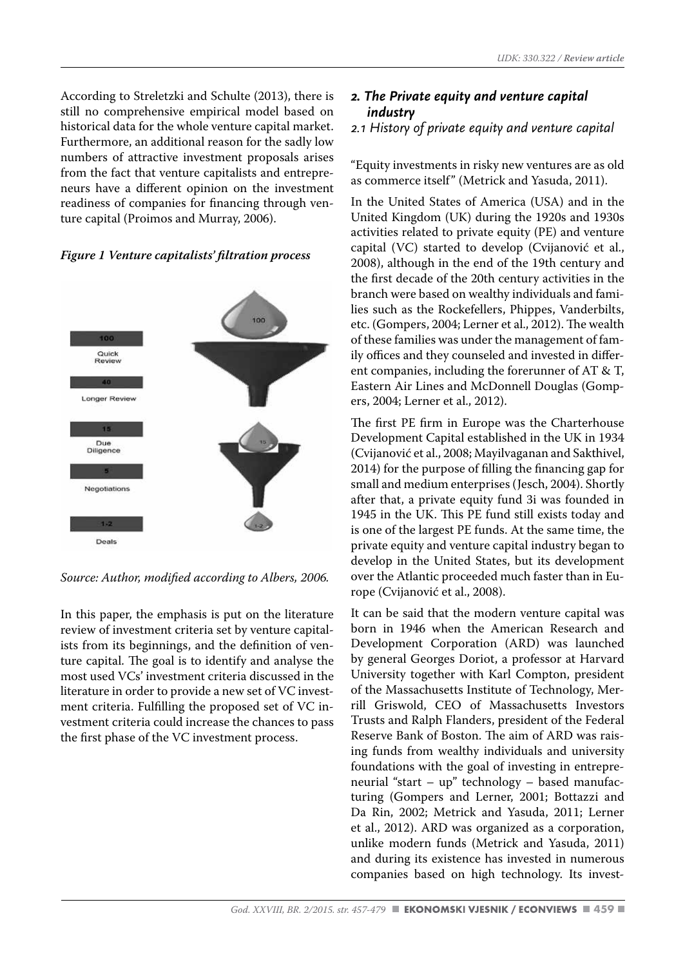According to Streletzki and Schulte (2013), there is still no comprehensive empirical model based on historical data for the whole venture capital market. Furthermore, an additional reason for the sadly low numbers of attractive investment proposals arises from the fact that venture capitalists and entrepreneurs have a different opinion on the investment readiness of companies for financing through venture capital (Proimos and Murray, 2006).





*Source: Author, modified according to Albers, 2006.*

In this paper, the emphasis is put on the literature review of investment criteria set by venture capitalists from its beginnings, and the definition of venture capital. The goal is to identify and analyse the most used VCs' investment criteria discussed in the literature in order to provide a new set of VC investment criteria. Fulfilling the proposed set of VC investment criteria could increase the chances to pass the first phase of the VC investment process.

#### *2. The Private equity and venture capital industry 2.1 History of private equity and venture capital*

"Equity investments in risky new ventures are as old as commerce itself" (Metrick and Yasuda, 2011).

In the United States of America (USA) and in the United Kingdom (UK) during the 1920s and 1930s activities related to private equity (PE) and venture capital (VC) started to develop (Cvijanović et al., 2008), although in the end of the 19th century and the first decade of the 20th century activities in the branch were based on wealthy individuals and families such as the Rockefellers, Phippes, Vanderbilts, etc. (Gompers, 2004; Lerner et al., 2012). The wealth of these families was under the management of family offices and they counseled and invested in different companies, including the forerunner of AT & T, Eastern Air Lines and McDonnell Douglas (Gompers, 2004; Lerner et al., 2012).

The first PE firm in Europe was the Charterhouse Development Capital established in the UK in 1934 (Cvijanović et al., 2008; Mayilvaganan and Sakthivel, 2014) for the purpose of filling the financing gap for small and medium enterprises (Jesch, 2004). Shortly after that, a private equity fund 3i was founded in 1945 in the UK. This PE fund still exists today and is one of the largest PE funds. At the same time, the private equity and venture capital industry began to develop in the United States, but its development over the Atlantic proceeded much faster than in Europe (Cvijanović et al., 2008).

It can be said that the modern venture capital was born in 1946 when the American Research and Development Corporation (ARD) was launched by general Georges Doriot, a professor at Harvard University together with Karl Compton, president of the Massachusetts Institute of Technology, Merrill Griswold, CEO of Massachusetts Investors Trusts and Ralph Flanders, president of the Federal Reserve Bank of Boston. The aim of ARD was raising funds from wealthy individuals and university foundations with the goal of investing in entrepreneurial "start – up" technology – based manufacturing (Gompers and Lerner, 2001; Bottazzi and Da Rin, 2002; Metrick and Yasuda, 2011; Lerner et al., 2012). ARD was organized as a corporation, unlike modern funds (Metrick and Yasuda, 2011) and during its existence has invested in numerous companies based on high technology. Its invest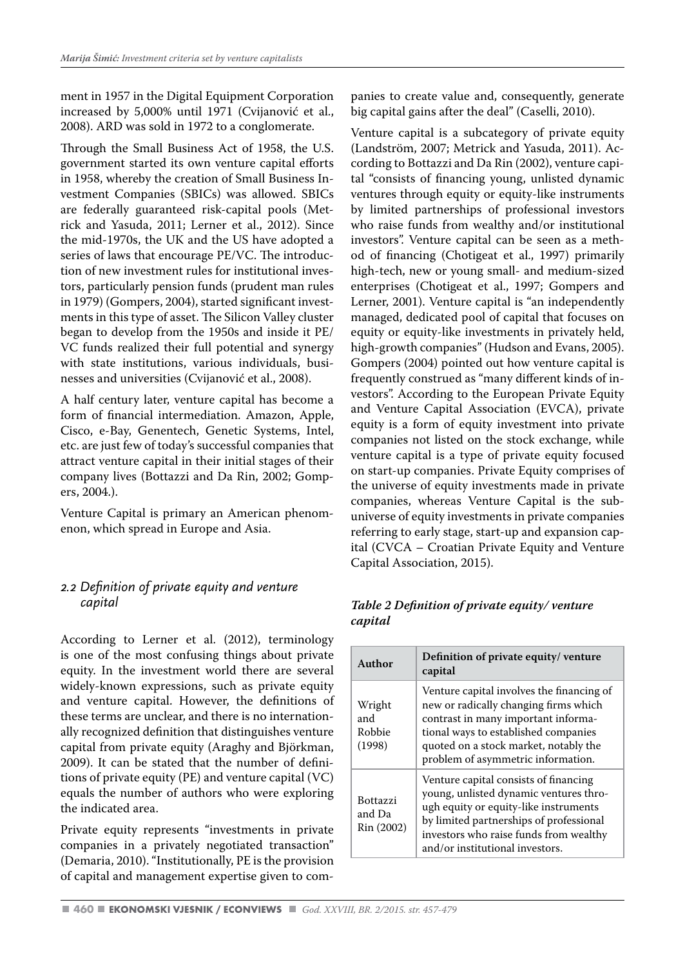ment in 1957 in the Digital Equipment Corporation increased by 5,000% until 1971 (Cvijanović et al., 2008). ARD was sold in 1972 to a conglomerate.

Through the Small Business Act of 1958, the U.S. government started its own venture capital efforts in 1958, whereby the creation of Small Business Investment Companies (SBICs) was allowed. SBICs are federally guaranteed risk-capital pools (Metrick and Yasuda, 2011; Lerner et al., 2012). Since the mid-1970s, the UK and the US have adopted a series of laws that encourage PE/VC. The introduction of new investment rules for institutional investors, particularly pension funds (prudent man rules in 1979) (Gompers, 2004), started significant investments in this type of asset. The Silicon Valley cluster began to develop from the 1950s and inside it PE/ VC funds realized their full potential and synergy with state institutions, various individuals, businesses and universities (Cvijanović et al., 2008).

A half century later, venture capital has become a form of financial intermediation. Amazon, Apple, Cisco, e-Bay, Genentech, Genetic Systems, Intel, etc. are just few of today's successful companies that attract venture capital in their initial stages of their company lives (Bottazzi and Da Rin, 2002; Gompers, 2004.).

Venture Capital is primary an American phenomenon, which spread in Europe and Asia.

# *2.2 Definition of private equity and venture capital*

According to Lerner et al. (2012), terminology is one of the most confusing things about private equity. In the investment world there are several widely-known expressions, such as private equity and venture capital. However, the definitions of these terms are unclear, and there is no internationally recognized definition that distinguishes venture capital from private equity (Araghy and Björkman, 2009). It can be stated that the number of definitions of private equity (PE) and venture capital (VC) equals the number of authors who were exploring the indicated area.

Private equity represents "investments in private companies in a privately negotiated transaction" (Demaria, 2010). "Institutionally, PE is the provision of capital and management expertise given to companies to create value and, consequently, generate big capital gains after the deal" (Caselli, 2010).

Venture capital is a subcategory of private equity (Landström, 2007; Metrick and Yasuda, 2011). According to Bottazzi and Da Rin (2002), venture capital "consists of financing young, unlisted dynamic ventures through equity or equity-like instruments by limited partnerships of professional investors who raise funds from wealthy and/or institutional investors". Venture capital can be seen as a method of financing (Chotigeat et al., 1997) primarily high-tech, new or young small- and medium-sized enterprises (Chotigeat et al., 1997; Gompers and Lerner, 2001). Venture capital is "an independently managed, dedicated pool of capital that focuses on equity or equity-like investments in privately held, high-growth companies" (Hudson and Evans, 2005). Gompers (2004) pointed out how venture capital is frequently construed as "many different kinds of investors". According to the European Private Equity and Venture Capital Association (EVCA), private equity is a form of equity investment into private companies not listed on the stock exchange, while venture capital is a type of private equity focused on start-up companies. Private Equity comprises of the universe of equity investments made in private companies, whereas Venture Capital is the subuniverse of equity investments in private companies referring to early stage, start-up and expansion capital (CVCA – Croatian Private Equity and Venture Capital Association, 2015).

# *Table 2 Definition of private equity/ venture capital*

| Author                                  | Definition of private equity/venture<br>capital                                                                                                                                                                                                  |
|-----------------------------------------|--------------------------------------------------------------------------------------------------------------------------------------------------------------------------------------------------------------------------------------------------|
| Wright<br>and<br>Robbie<br>(1998)       | Venture capital involves the financing of<br>new or radically changing firms which<br>contrast in many important informa-<br>tional ways to established companies<br>quoted on a stock market, notably the<br>problem of asymmetric information. |
| <b>Bottazzi</b><br>and Da<br>Rin (2002) | Venture capital consists of financing<br>young, unlisted dynamic ventures thro-<br>ugh equity or equity-like instruments<br>by limited partnerships of professional<br>investors who raise funds from wealthy<br>and/or institutional investors. |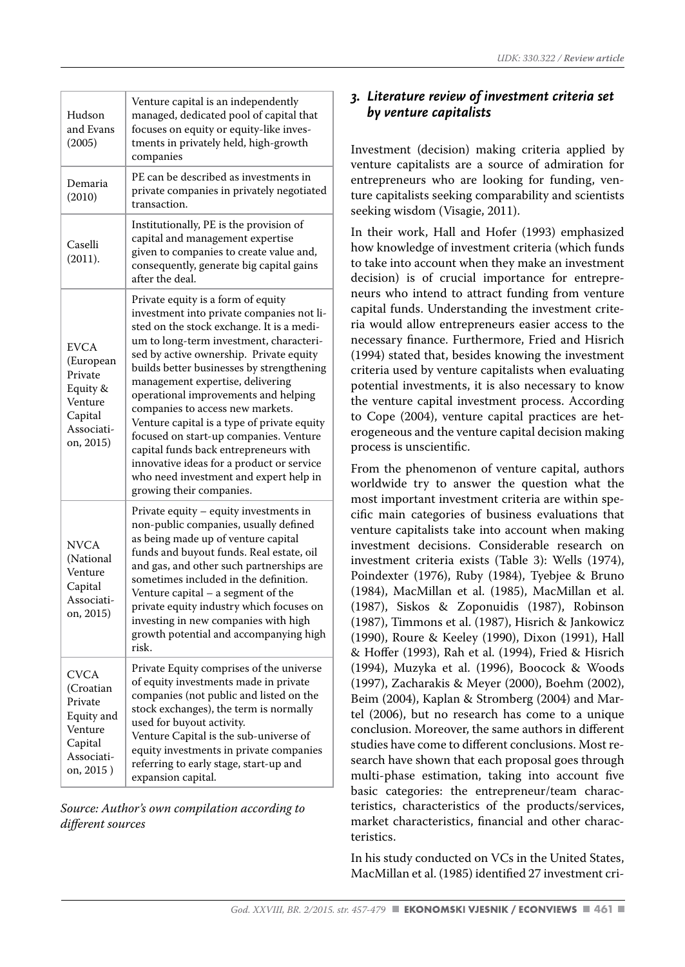| Hudson<br>and Evans<br>(2005)                                                                      | Venture capital is an independently<br>managed, dedicated pool of capital that<br>focuses on equity or equity-like inves-<br>tments in privately held, high-growth<br>companies                                                                                                                                                                                                                                                                                                                                                                                                                                                      |
|----------------------------------------------------------------------------------------------------|--------------------------------------------------------------------------------------------------------------------------------------------------------------------------------------------------------------------------------------------------------------------------------------------------------------------------------------------------------------------------------------------------------------------------------------------------------------------------------------------------------------------------------------------------------------------------------------------------------------------------------------|
| Demaria<br>(2010)                                                                                  | PE can be described as investments in<br>private companies in privately negotiated<br>transaction.                                                                                                                                                                                                                                                                                                                                                                                                                                                                                                                                   |
| Caselli<br>(2011).                                                                                 | Institutionally, PE is the provision of<br>capital and management expertise<br>given to companies to create value and,<br>consequently, generate big capital gains<br>after the deal.                                                                                                                                                                                                                                                                                                                                                                                                                                                |
| <b>EVCA</b><br>(European<br>Private<br>Equity &<br>Venture<br>Capital<br>Associati-<br>on, 2015)   | Private equity is a form of equity<br>investment into private companies not li-<br>sted on the stock exchange. It is a medi-<br>um to long-term investment, characteri-<br>sed by active ownership. Private equity<br>builds better businesses by strengthening<br>management expertise, delivering<br>operational improvements and helping<br>companies to access new markets.<br>Venture capital is a type of private equity<br>focused on start-up companies. Venture<br>capital funds back entrepreneurs with<br>innovative ideas for a product or service<br>who need investment and expert help in<br>growing their companies. |
| <b>NVCA</b><br>(National<br>Venture<br>Capital<br>Associati-<br>on, 2015)                          | Private equity - equity investments in<br>non-public companies, usually defined<br>as being made up of venture capital<br>funds and buyout funds. Real estate, oil<br>and gas, and other such partnerships are<br>sometimes included in the definition.<br>Venture capital - a segment of the<br>private equity industry which focuses on<br>investing in new companies with high<br>growth potential and accompanying high<br>risk.                                                                                                                                                                                                 |
| <b>CVCA</b><br>(Croatian<br>Private<br>Equity and<br>Venture<br>Capital<br>Associati-<br>on, 2015) | Private Equity comprises of the universe<br>of equity investments made in private<br>companies (not public and listed on the<br>stock exchanges), the term is normally<br>used for buyout activity.<br>Venture Capital is the sub-universe of<br>equity investments in private companies<br>referring to early stage, start-up and<br>expansion capital.                                                                                                                                                                                                                                                                             |

*Source: Author's own compilation according to different sources*

# *3. Literature review of investment criteria set by venture capitalists*

Investment (decision) making criteria applied by venture capitalists are a source of admiration for entrepreneurs who are looking for funding, venture capitalists seeking comparability and scientists seeking wisdom (Visagie, 2011).

In their work, Hall and Hofer (1993) emphasized how knowledge of investment criteria (which funds to take into account when they make an investment decision) is of crucial importance for entrepreneurs who intend to attract funding from venture capital funds. Understanding the investment criteria would allow entrepreneurs easier access to the necessary finance. Furthermore, Fried and Hisrich (1994) stated that, besides knowing the investment criteria used by venture capitalists when evaluating potential investments, it is also necessary to know the venture capital investment process. According to Cope (2004), venture capital practices are heterogeneous and the venture capital decision making process is unscientific.

From the phenomenon of venture capital, authors worldwide try to answer the question what the most important investment criteria are within specific main categories of business evaluations that venture capitalists take into account when making investment decisions. Considerable research on investment criteria exists (Table 3): Wells (1974), Poindexter (1976), Ruby (1984), Tyebjee & Bruno (1984), MacMillan et al. (1985), MacMillan et al. (1987), Siskos & Zoponuidis (1987), Robinson (1987), Timmons et al. (1987), Hisrich & Jankowicz (1990), Roure & Keeley (1990), Dixon (1991), Hall & Hoffer (1993), Rah et al. (1994), Fried & Hisrich (1994), Muzyka et al. (1996), Boocock & Woods (1997), Zacharakis & Meyer (2000), Boehm (2002), Beim (2004), Kaplan & Stromberg (2004) and Martel (2006), but no research has come to a unique conclusion. Moreover, the same authors in different studies have come to different conclusions. Most research have shown that each proposal goes through multi-phase estimation, taking into account five basic categories: the entrepreneur/team characteristics, characteristics of the products/services, market characteristics, financial and other characteristics.

In his study conducted on VCs in the United States, MacMillan et al. (1985) identified 27 investment cri-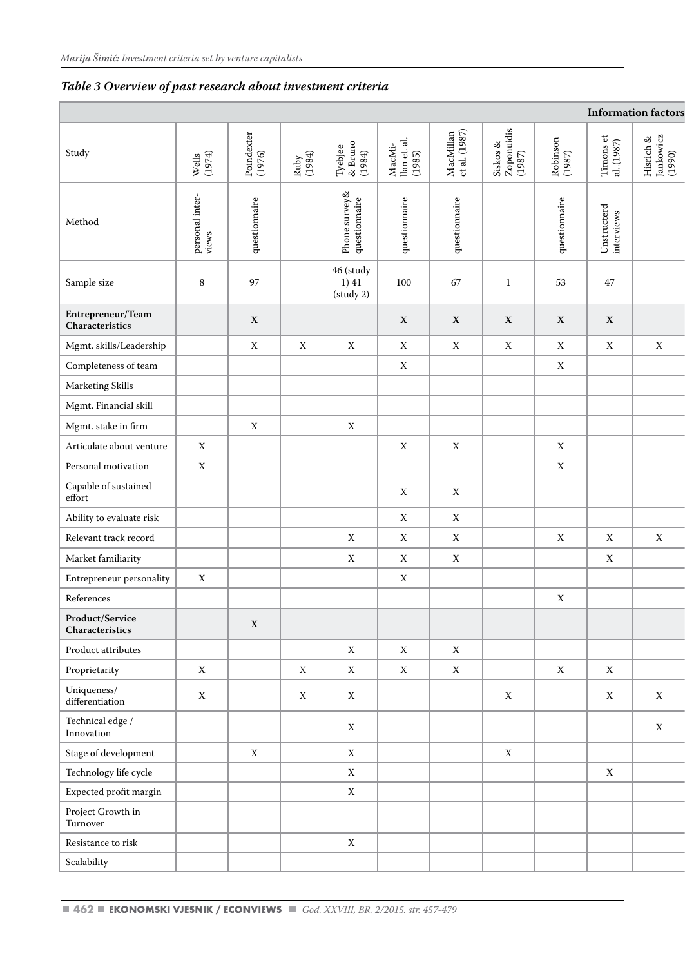# *Table 3 Overview of past research about investment criteria*

|                                                                                                                                                   |                          |                                                             |                                                        |                                                                                         |                                  |                                                                            |                                  |                           |                                                                         | <b>Information factors</b>       |
|---------------------------------------------------------------------------------------------------------------------------------------------------|--------------------------|-------------------------------------------------------------|--------------------------------------------------------|-----------------------------------------------------------------------------------------|----------------------------------|----------------------------------------------------------------------------|----------------------------------|---------------------------|-------------------------------------------------------------------------|----------------------------------|
| Study                                                                                                                                             | Wells<br>(1974)          | $\begin{array}{l} \textbf{Poindester}\\ (1976) \end{array}$ | $\begin{array}{c} \text{Ruby} \\ (1\,984) \end{array}$ | $\begin{array}{l} \rm_{\rm T} \rm {pebjee} \\ \& \rm {Bruno} \\ \rm (1984) \end{array}$ | MacMi-<br>llan et. al.<br>(1985) | $\begin{array}{c} \text{MacMillan} \\ \text{et al.} \, (1987) \end{array}$ | Siskos &<br>Zoponuidis<br>(1987) | Robinson<br>(1987)        | $\begin{array}{c} \text{Timons et} \\ \text{al.} (1987) \end{array}$    | Hisrich &<br>Jankowicz<br>(1990) |
| Method                                                                                                                                            | personal inter-<br>views | questionnaire                                               |                                                        | Phone survey<br>& questionnaire                                                         | questionnaire                    | questionnaire                                                              |                                  | questionnaire             | $\begin{array}{c} \text{Unstructured} \\ \text{intervised} \end{array}$ |                                  |
| Sample size                                                                                                                                       | 8                        | 97                                                          |                                                        | 46 (study<br>1) 41<br>(study 2)                                                         | 100                              | 67                                                                         | $\mathbf{1}$                     | 53                        | 47                                                                      |                                  |
| Entrepreneur/Team<br>Characteristics                                                                                                              |                          | $\mathbf{X}$                                                |                                                        |                                                                                         | $\mathbf X$                      | $\mathbf X$                                                                | $\mathbf x$                      | $\mathbf X$               | $\mathbf{x}$                                                            |                                  |
| Mgmt. skills/Leadership                                                                                                                           |                          | $\mathbf X$                                                 | $\mathbf X$                                            | $\mathbf X$                                                                             | $\mathbf x$                      | $\mathbf X$                                                                | $\mathbf X$                      | $\mathbf x$               | $\mathbf X$                                                             | $\mathbf x$                      |
| Completeness of team                                                                                                                              |                          |                                                             |                                                        |                                                                                         | $\mathbf{X}$                     |                                                                            |                                  | $\mathbf x$               |                                                                         |                                  |
| Marketing Skills                                                                                                                                  |                          |                                                             |                                                        |                                                                                         |                                  |                                                                            |                                  |                           |                                                                         |                                  |
| Mgmt. Financial skill                                                                                                                             |                          |                                                             |                                                        |                                                                                         |                                  |                                                                            |                                  |                           |                                                                         |                                  |
| Mgmt. stake in firm                                                                                                                               |                          | $\mathbf{X}$                                                |                                                        | $\boldsymbol{\mathrm{X}}$                                                               |                                  |                                                                            |                                  |                           |                                                                         |                                  |
| Articulate about venture                                                                                                                          | $\mathbf X$              |                                                             |                                                        |                                                                                         | $\mathbf X$                      | $\mathbf X$                                                                |                                  | $\mathbf x$               |                                                                         |                                  |
| Personal motivation                                                                                                                               | $\mathbf X$              |                                                             |                                                        |                                                                                         |                                  |                                                                            |                                  | $\boldsymbol{\mathrm{X}}$ |                                                                         |                                  |
| Capable of sustained<br>effort                                                                                                                    |                          |                                                             |                                                        |                                                                                         | $\mathbf{X}$                     | $\mathbf x$                                                                |                                  |                           |                                                                         |                                  |
| Ability to evaluate risk                                                                                                                          |                          |                                                             |                                                        |                                                                                         | $\mathbf x$                      | $\mathbf x$                                                                |                                  |                           |                                                                         |                                  |
| Relevant track record                                                                                                                             |                          |                                                             |                                                        | $\mathbf X$                                                                             | $\mathbf X$                      | $\mathbf X$                                                                |                                  | $\mathbf X$               | $\boldsymbol{\mathrm{X}}$                                               | $\mathbf x$                      |
| Market familiarity                                                                                                                                |                          |                                                             |                                                        | $\mathbf{X}$                                                                            | $\mathbf x$                      | $\mathbf x$                                                                |                                  |                           | $\boldsymbol{\mathrm{X}}$                                               |                                  |
| Entrepreneur personality                                                                                                                          | $\mathbf x$              |                                                             |                                                        |                                                                                         | $\mathbf x$                      |                                                                            |                                  |                           |                                                                         |                                  |
| References                                                                                                                                        |                          |                                                             |                                                        |                                                                                         |                                  |                                                                            |                                  | $\boldsymbol{\mathrm{X}}$ |                                                                         |                                  |
| Product/Service<br>Characteristics                                                                                                                |                          | $\mathbf x$                                                 |                                                        |                                                                                         |                                  |                                                                            |                                  |                           |                                                                         |                                  |
| Product attributes                                                                                                                                |                          |                                                             |                                                        | $\mathbf{X}$                                                                            | $\mathbf x$                      | $\mathbf x$                                                                |                                  |                           |                                                                         |                                  |
| Proprietarity                                                                                                                                     | $\mathbf X$              |                                                             | $\mathbf X$                                            | $\mathbf X$                                                                             | $\mathbf X$                      | $\mathbf x$                                                                |                                  | $\mathbf x$               | $\mathbf X$                                                             |                                  |
| Uniqueness/<br>$\operatorname*{differentiation}% \left( \mathcal{N}\right) =\operatorname*{dist}\nolimits(\mathcal{N}\left( \mathcal{N}\right) )$ | $\mathbf X$              |                                                             | $\mathbf X$                                            | $\mathbf X$                                                                             |                                  |                                                                            | $\mathbf X$                      |                           | $\boldsymbol{\mathrm{X}}$                                               | $\mathbf x$                      |
| Technical edge /<br>Innovation                                                                                                                    |                          |                                                             |                                                        | $\boldsymbol{\mathrm{X}}$                                                               |                                  |                                                                            |                                  |                           |                                                                         | $\mathbf x$                      |
| Stage of development                                                                                                                              |                          | $\mathbf X$                                                 |                                                        | $\mathbf X$                                                                             |                                  |                                                                            | $\mathbf X$                      |                           |                                                                         |                                  |
| Technology life cycle                                                                                                                             |                          |                                                             |                                                        | $\mathbf X$                                                                             |                                  |                                                                            |                                  |                           | $\mathbf X$                                                             |                                  |
| Expected profit margin                                                                                                                            |                          |                                                             |                                                        | $\mathbf X$                                                                             |                                  |                                                                            |                                  |                           |                                                                         |                                  |
| Project Growth in<br>Turnover                                                                                                                     |                          |                                                             |                                                        |                                                                                         |                                  |                                                                            |                                  |                           |                                                                         |                                  |
| Resistance to risk                                                                                                                                |                          |                                                             |                                                        | $\mathbf X$                                                                             |                                  |                                                                            |                                  |                           |                                                                         |                                  |
| Scalability                                                                                                                                       |                          |                                                             |                                                        |                                                                                         |                                  |                                                                            |                                  |                           |                                                                         |                                  |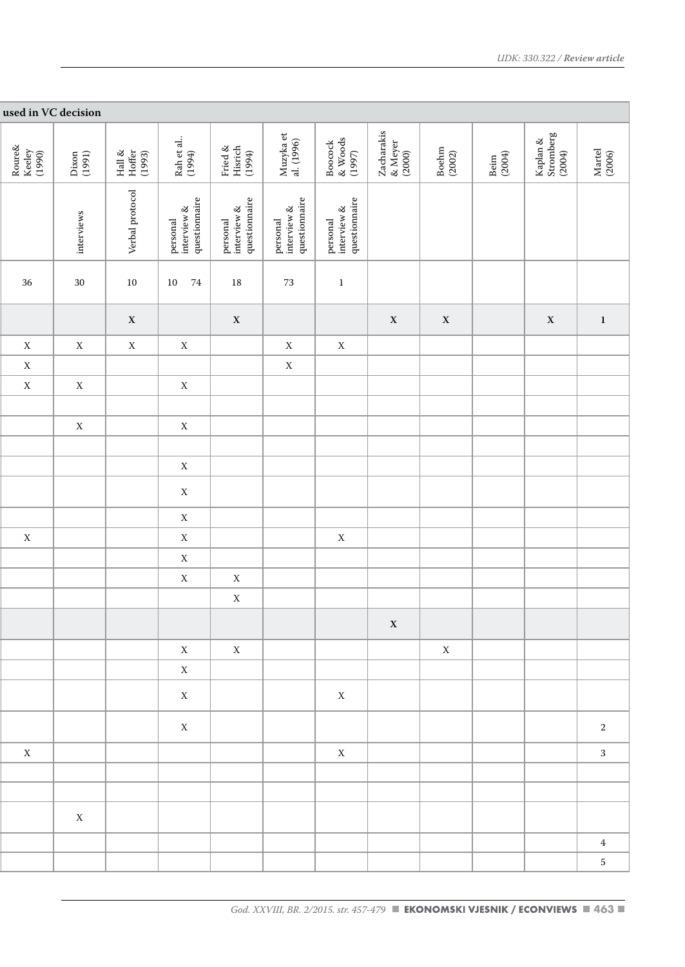| used in VC decision        |                 |                                                                                            |                                          |                                          |                                          |                                                                                   |                                 |                                                       |                |                                 |                  |
|----------------------------|-----------------|--------------------------------------------------------------------------------------------|------------------------------------------|------------------------------------------|------------------------------------------|-----------------------------------------------------------------------------------|---------------------------------|-------------------------------------------------------|----------------|---------------------------------|------------------|
| Roure&<br>Keeley<br>(1990) | Dixon<br>(1991) | $\begin{array}{c} \mathrm{Hall} \, \& \\ \mathrm{Hoffer} \\ \mathrm{(1\,993)} \end{array}$ | Rah et al<br>(1994)                      | Fried &<br>Hisrich<br>(1994)             | Muzyka et<br>al. (1996)                  | $\begin{array}{l} \text{Boocock} \\ \& \text{Woods} \\ \text{(1997)} \end{array}$ | Zacharakis<br>& Meyer<br>(2000) | $\begin{array}{c} \text{Boehm} \\ (2002) \end{array}$ | Beim<br>(2004) | Kaplan &<br>Stromberg<br>(2004) | Martel<br>(2006) |
|                            | interviews      | Verbal protocol                                                                            | personal<br>interview &<br>questionnaire | personal<br>interview &<br>questionnaire | personal<br>interview &<br>questionnaire | personal<br>interview &<br>questionnaire                                          |                                 |                                                       |                |                                 |                  |
| 36                         | 30              | 10                                                                                         | $10\quad 74$                             | 18                                       | 73                                       | $\mathbf{1}$                                                                      |                                 |                                                       |                |                                 |                  |
|                            |                 | $\mathbf X$                                                                                |                                          | $\mathbf X$                              |                                          |                                                                                   | $\mathbf X$                     | $\mathbf{x}$                                          |                | $\mathbf X$                     | $1\,$            |
| $\mathbf X$                | $\mathbf{X}$    | $\mathbf X$                                                                                | $\mathbf X$                              |                                          | $\mathbf X$                              | $\mathbf X$                                                                       |                                 |                                                       |                |                                 |                  |
| $\mathbf X$                |                 |                                                                                            |                                          |                                          | $\mathbf X$                              |                                                                                   |                                 |                                                       |                |                                 |                  |
| $\mathbf X$                | $\mathbf{X}$    |                                                                                            | $\mathbf X$                              |                                          |                                          |                                                                                   |                                 |                                                       |                |                                 |                  |
|                            |                 |                                                                                            |                                          |                                          |                                          |                                                                                   |                                 |                                                       |                |                                 |                  |
|                            | $\mathbf X$     |                                                                                            | $\mathbf X$                              |                                          |                                          |                                                                                   |                                 |                                                       |                |                                 |                  |
|                            |                 |                                                                                            |                                          |                                          |                                          |                                                                                   |                                 |                                                       |                |                                 |                  |
|                            |                 |                                                                                            | $\mathbf X$                              |                                          |                                          |                                                                                   |                                 |                                                       |                |                                 |                  |
|                            |                 |                                                                                            | $\mathbf X$                              |                                          |                                          |                                                                                   |                                 |                                                       |                |                                 |                  |
|                            |                 |                                                                                            | $\mathbf X$                              |                                          |                                          |                                                                                   |                                 |                                                       |                |                                 |                  |
| $\mathbf X$                |                 |                                                                                            | $\mathbf X$                              |                                          |                                          | $\mathbf X$                                                                       |                                 |                                                       |                |                                 |                  |
|                            |                 |                                                                                            | $\mathbf X$                              |                                          |                                          |                                                                                   |                                 |                                                       |                |                                 |                  |
|                            |                 |                                                                                            | $\mathbf X$                              | $\mathbf X$                              |                                          |                                                                                   |                                 |                                                       |                |                                 |                  |
|                            |                 |                                                                                            |                                          | $\mathbf X$                              |                                          |                                                                                   |                                 |                                                       |                |                                 |                  |
|                            |                 |                                                                                            |                                          |                                          |                                          |                                                                                   | $\mathbf X$                     |                                                       |                |                                 |                  |
|                            |                 |                                                                                            | $\mathbf X$                              | $\mathbf X$                              |                                          |                                                                                   |                                 | $\mathbf X$                                           |                |                                 |                  |
|                            |                 |                                                                                            | $\mathbf X$                              |                                          |                                          |                                                                                   |                                 |                                                       |                |                                 |                  |
|                            |                 |                                                                                            | $\mathbf X$                              |                                          |                                          | $\mathbf X$                                                                       |                                 |                                                       |                |                                 |                  |
|                            |                 |                                                                                            | $\mathbf X$                              |                                          |                                          |                                                                                   |                                 |                                                       |                |                                 | $\,2$            |
| $\mathbf X$                |                 |                                                                                            |                                          |                                          |                                          | X                                                                                 |                                 |                                                       |                |                                 | $3\overline{3}$  |
|                            |                 |                                                                                            |                                          |                                          |                                          |                                                                                   |                                 |                                                       |                |                                 |                  |
|                            |                 |                                                                                            |                                          |                                          |                                          |                                                                                   |                                 |                                                       |                |                                 |                  |
|                            | $\mathbf{X}$    |                                                                                            |                                          |                                          |                                          |                                                                                   |                                 |                                                       |                |                                 |                  |
|                            |                 |                                                                                            |                                          |                                          |                                          |                                                                                   |                                 |                                                       |                |                                 | $4\overline{ }$  |
|                            |                 |                                                                                            |                                          |                                          |                                          |                                                                                   |                                 |                                                       |                |                                 | $\sqrt{5}$       |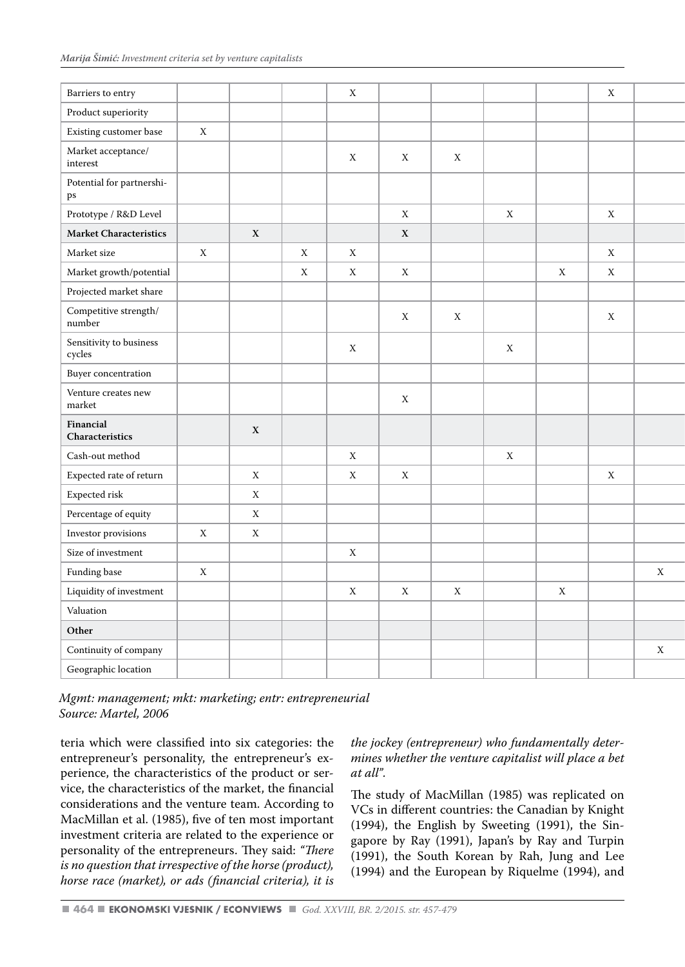| Barriers to entry                    |                           |                           |                           | $\mathbf X$               |              |             |              |              | $\mathbf{X}$              |              |
|--------------------------------------|---------------------------|---------------------------|---------------------------|---------------------------|--------------|-------------|--------------|--------------|---------------------------|--------------|
| Product superiority                  |                           |                           |                           |                           |              |             |              |              |                           |              |
| Existing customer base               | $\mathbf X$               |                           |                           |                           |              |             |              |              |                           |              |
| Market acceptance/<br>$\,$ interest  |                           |                           |                           | $\mathbf X$               | $\mathbf{X}$ | $\mathbf X$ |              |              |                           |              |
| Potential for partnershi-<br>ps      |                           |                           |                           |                           |              |             |              |              |                           |              |
| Prototype / R&D Level                |                           |                           |                           |                           | $\mathbf{X}$ |             | X            |              | $\mathbf X$               |              |
| <b>Market Characteristics</b>        |                           | $\mathbf X$               |                           |                           | $\mathbf X$  |             |              |              |                           |              |
| Market size                          | $\mathbf x$               |                           | $\boldsymbol{\mathrm{X}}$ | $\mathbf X$               |              |             |              |              | $\mathbf{X}$              |              |
| Market growth/potential              |                           |                           | $\boldsymbol{\mathrm{X}}$ | $\mathbf X$               | X            |             |              | $\mathbf{X}$ | $\boldsymbol{\mathrm{X}}$ |              |
| Projected market share               |                           |                           |                           |                           |              |             |              |              |                           |              |
| Competitive strength/ $\,$<br>number |                           |                           |                           |                           | $\mathbf{X}$ | $\mathbf X$ |              |              | $\mathbf X$               |              |
| Sensitivity to business<br>cycles    |                           |                           |                           | $\boldsymbol{\mathrm{X}}$ |              |             | $\mathbf{X}$ |              |                           |              |
| Buyer concentration                  |                           |                           |                           |                           |              |             |              |              |                           |              |
| Venture creates new<br>market        |                           |                           |                           |                           | $\mathbf{X}$ |             |              |              |                           |              |
| Financial<br>Characteristics         |                           | $\mathbf x$               |                           |                           |              |             |              |              |                           |              |
| Cash-out method                      |                           |                           |                           | $\mathbf X$               |              |             | $\mathbf{X}$ |              |                           |              |
| Expected rate of return              |                           | $\boldsymbol{\mathrm{X}}$ |                           | $\mathbf X$               | X            |             |              |              | $\mathbf{X}$              |              |
| Expected risk                        |                           | $\mathbf{x}$              |                           |                           |              |             |              |              |                           |              |
| Percentage of equity                 |                           | $\mathbf{x}$              |                           |                           |              |             |              |              |                           |              |
| Investor provisions                  | $\mathbf X$               | X                         |                           |                           |              |             |              |              |                           |              |
| Size of investment                   |                           |                           |                           | $\mathbf X$               |              |             |              |              |                           |              |
| Funding base                         | $\boldsymbol{\mathrm{X}}$ |                           |                           |                           |              |             |              |              |                           | $\mathbf{X}$ |
| Liquidity of investment              |                           |                           |                           | $\mathbf X$               | $\mathbf X$  | $\mathbf X$ |              | $\mathbf X$  |                           |              |
| Valuation                            |                           |                           |                           |                           |              |             |              |              |                           |              |
| Other                                |                           |                           |                           |                           |              |             |              |              |                           |              |
| Continuity of company                |                           |                           |                           |                           |              |             |              |              |                           | $\mathbf x$  |
| Geographic location                  |                           |                           |                           |                           |              |             |              |              |                           |              |

*Mgmt: management; mkt: marketing; entr: entrepreneurial Source: Martel, 2006*

teria which were classified into six categories: the entrepreneur's personality, the entrepreneur's experience, the characteristics of the product or service, the characteristics of the market, the financial considerations and the venture team. According to MacMillan et al. (1985), five of ten most important investment criteria are related to the experience or personality of the entrepreneurs. They said: *"There is no question that irrespective of the horse (product), horse race (market), or ads (financial criteria), it is* 

*the jockey (entrepreneur) who fundamentally determines whether the venture capitalist will place a bet at all"*.

The study of MacMillan (1985) was replicated on VCs in different countries: the Canadian by Knight (1994), the English by Sweeting (1991), the Singapore by Ray (1991), Japan's by Ray and Turpin (1991), the South Korean by Rah, Jung and Lee (1994) and the European by Riquelme (1994), and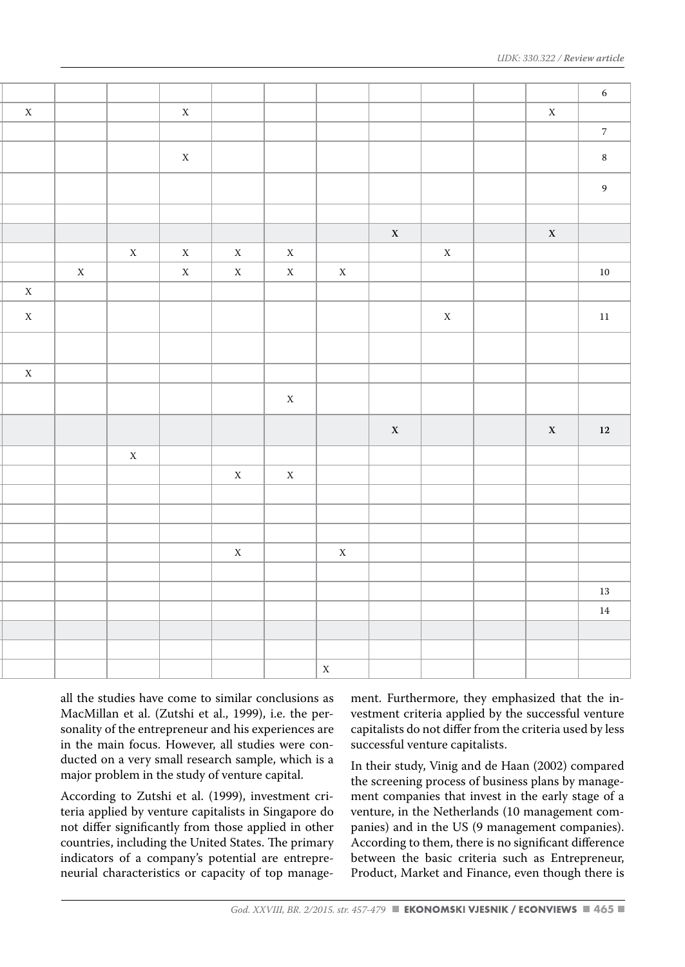|             |             |             |             |             |             |              |             |             |             | $6\phantom{.0}$ |
|-------------|-------------|-------------|-------------|-------------|-------------|--------------|-------------|-------------|-------------|-----------------|
| $\mathbf X$ |             |             | $\mathbf X$ |             |             |              |             |             | $\mathbf X$ |                 |
|             |             |             |             |             |             |              |             |             |             | $7\overline{ }$ |
|             |             |             | $\mathbf X$ |             |             |              |             |             |             | $\bf 8$         |
|             |             |             |             |             |             |              |             |             |             | 9               |
|             |             |             |             |             |             |              |             |             |             |                 |
|             |             |             |             |             |             |              | $\mathbf X$ |             | $\mathbf X$ |                 |
|             |             | $\mathbf X$ | $\mathbf X$ | $\mathbf X$ | $\mathbf X$ |              |             | $\mathbf x$ |             |                 |
|             | $\mathbf X$ |             | $\mathbf X$ | $\mathbf X$ | $\mathbf X$ | $\mathbf X$  |             |             |             | $10\,$          |
| $\mathbf X$ |             |             |             |             |             |              |             |             |             |                 |
| $\mathbf X$ |             |             |             |             |             |              |             | $\mathbf x$ |             | 11              |
|             |             |             |             |             |             |              |             |             |             |                 |
| $\mathbf X$ |             |             |             |             |             |              |             |             |             |                 |
|             |             |             |             |             | $\mathbf X$ |              |             |             |             |                 |
|             |             |             |             |             |             |              | $\mathbf X$ |             | $\mathbf X$ | $12\,$          |
|             |             | $\mathbf X$ |             |             |             |              |             |             |             |                 |
|             |             |             |             | $\mathbf X$ | $\mathbf X$ |              |             |             |             |                 |
|             |             |             |             |             |             |              |             |             |             |                 |
|             |             |             |             |             |             |              |             |             |             |                 |
|             |             |             |             |             |             |              |             |             |             |                 |
|             |             |             |             | $\mathbf X$ |             | $\mathbf X$  |             |             |             |                 |
|             |             |             |             |             |             |              |             |             |             | 13              |
|             |             |             |             |             |             |              |             |             |             | 14              |
|             |             |             |             |             |             |              |             |             |             |                 |
|             |             |             |             |             |             |              |             |             |             |                 |
|             |             |             |             |             |             | $\mathbf{x}$ |             |             |             |                 |

all the studies have come to similar conclusions as MacMillan et al. (Zutshi et al., 1999), i.e. the personality of the entrepreneur and his experiences are in the main focus. However, all studies were conducted on a very small research sample, which is a major problem in the study of venture capital.

According to Zutshi et al. (1999), investment criteria applied by venture capitalists in Singapore do not differ significantly from those applied in other countries, including the United States. The primary indicators of a company's potential are entrepreneurial characteristics or capacity of top management. Furthermore, they emphasized that the investment criteria applied by the successful venture capitalists do not differ from the criteria used by less successful venture capitalists.

In their study, Vinig and de Haan (2002) compared the screening process of business plans by management companies that invest in the early stage of a venture, in the Netherlands (10 management companies) and in the US (9 management companies). According to them, there is no significant difference between the basic criteria such as Entrepreneur, Product, Market and Finance, even though there is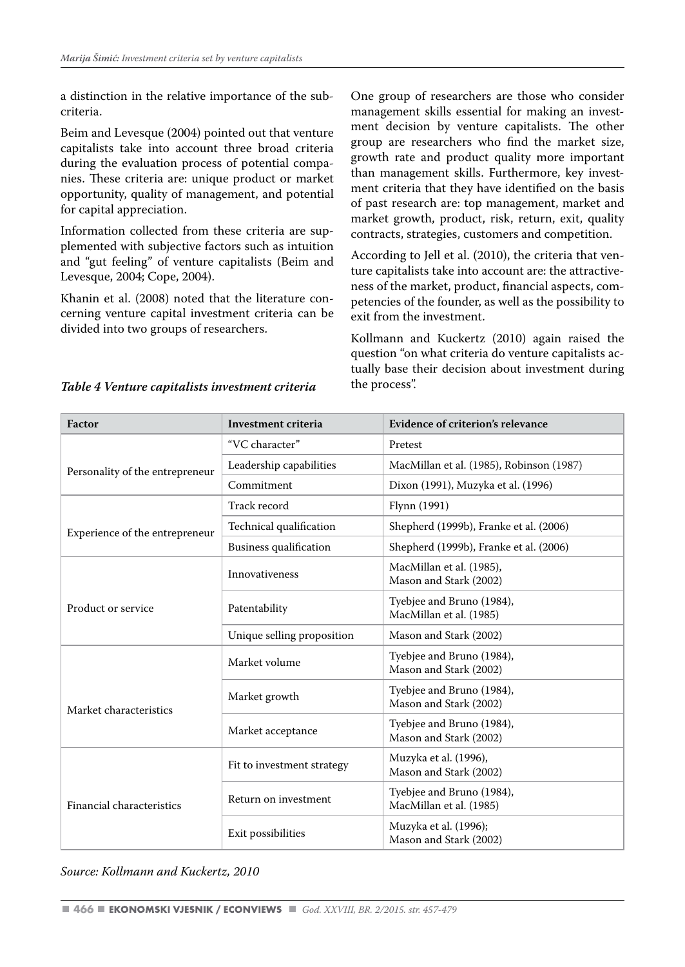a distinction in the relative importance of the subcriteria.

Beim and Levesque (2004) pointed out that venture capitalists take into account three broad criteria during the evaluation process of potential companies. These criteria are: unique product or market opportunity, quality of management, and potential for capital appreciation.

Information collected from these criteria are supplemented with subjective factors such as intuition and "gut feeling" of venture capitalists (Beim and Levesque, 2004; Cope, 2004).

Khanin et al. (2008) noted that the literature concerning venture capital investment criteria can be divided into two groups of researchers.

One group of researchers are those who consider management skills essential for making an investment decision by venture capitalists. The other group are researchers who find the market size, growth rate and product quality more important than management skills. Furthermore, key investment criteria that they have identified on the basis of past research are: top management, market and market growth, product, risk, return, exit, quality contracts, strategies, customers and competition.

According to Jell et al. (2010), the criteria that venture capitalists take into account are: the attractiveness of the market, product, financial aspects, competencies of the founder, as well as the possibility to exit from the investment.

Kollmann and Kuckertz (2010) again raised the question "on what criteria do venture capitalists actually base their decision about investment during the process".

| Factor                          | Investment criteria        | Evidence of criterion's relevance                    |
|---------------------------------|----------------------------|------------------------------------------------------|
|                                 | "VC character"             | Pretest                                              |
| Personality of the entrepreneur | Leadership capabilities    | MacMillan et al. (1985), Robinson (1987)             |
|                                 | Commitment                 | Dixon (1991), Muzyka et al. (1996)                   |
|                                 | Track record               | Flynn (1991)                                         |
| Experience of the entrepreneur  | Technical qualification    | Shepherd (1999b), Franke et al. (2006)               |
|                                 | Business qualification     | Shepherd (1999b), Franke et al. (2006)               |
|                                 | Innovativeness             | MacMillan et al. (1985),<br>Mason and Stark (2002)   |
| Product or service              | Patentability              | Tyebjee and Bruno (1984),<br>MacMillan et al. (1985) |
|                                 | Unique selling proposition | Mason and Stark (2002)                               |
|                                 | Market volume              | Tyebjee and Bruno (1984),<br>Mason and Stark (2002)  |
| Market characteristics          | Market growth              | Tyebjee and Bruno (1984),<br>Mason and Stark (2002)  |
|                                 | Market acceptance          | Tyebjee and Bruno (1984),<br>Mason and Stark (2002)  |
|                                 | Fit to investment strategy | Muzyka et al. (1996),<br>Mason and Stark (2002)      |
| Financial characteristics       | Return on investment       | Tyebjee and Bruno (1984),<br>MacMillan et al. (1985) |
|                                 | Exit possibilities         | Muzyka et al. (1996);<br>Mason and Stark (2002)      |

#### *Table 4 Venture capitalists investment criteria*

*Source: Kollmann and Kuckertz, 2010*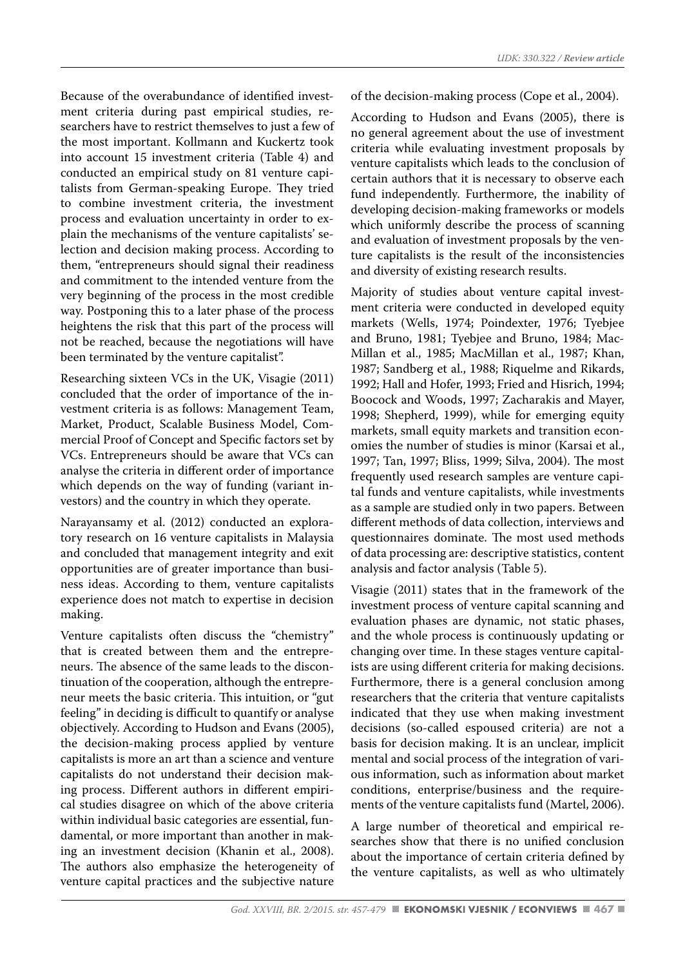Because of the overabundance of identified investment criteria during past empirical studies, researchers have to restrict themselves to just a few of the most important. Kollmann and Kuckertz took into account 15 investment criteria (Table 4) and conducted an empirical study on 81 venture capitalists from German-speaking Europe. They tried to combine investment criteria, the investment process and evaluation uncertainty in order to explain the mechanisms of the venture capitalists' selection and decision making process. According to them, "entrepreneurs should signal their readiness and commitment to the intended venture from the very beginning of the process in the most credible way. Postponing this to a later phase of the process heightens the risk that this part of the process will not be reached, because the negotiations will have been terminated by the venture capitalist".

Researching sixteen VCs in the UK, Visagie (2011) concluded that the order of importance of the investment criteria is as follows: Management Team, Market, Product, Scalable Business Model, Commercial Proof of Concept and Specific factors set by VCs. Entrepreneurs should be aware that VCs can analyse the criteria in different order of importance which depends on the way of funding (variant investors) and the country in which they operate.

Narayansamy et al. (2012) conducted an exploratory research on 16 venture capitalists in Malaysia and concluded that management integrity and exit opportunities are of greater importance than business ideas. According to them, venture capitalists experience does not match to expertise in decision making.

Venture capitalists often discuss the "chemistry" that is created between them and the entrepreneurs. The absence of the same leads to the discontinuation of the cooperation, although the entrepreneur meets the basic criteria. This intuition, or "gut feeling" in deciding is difficult to quantify or analyse objectively. According to Hudson and Evans (2005), the decision-making process applied by venture capitalists is more an art than a science and venture capitalists do not understand their decision making process. Different authors in different empirical studies disagree on which of the above criteria within individual basic categories are essential, fundamental, or more important than another in making an investment decision (Khanin et al., 2008). The authors also emphasize the heterogeneity of venture capital practices and the subjective nature of the decision-making process (Cope et al., 2004).

According to Hudson and Evans (2005), there is no general agreement about the use of investment criteria while evaluating investment proposals by venture capitalists which leads to the conclusion of certain authors that it is necessary to observe each fund independently. Furthermore, the inability of developing decision-making frameworks or models which uniformly describe the process of scanning and evaluation of investment proposals by the venture capitalists is the result of the inconsistencies and diversity of existing research results.

Majority of studies about venture capital investment criteria were conducted in developed equity markets (Wells, 1974; Poindexter, 1976; Tyebjee and Bruno, 1981; Tyebjee and Bruno, 1984; Mac-Millan et al., 1985; MacMillan et al., 1987; Khan, 1987; Sandberg et al., 1988; Riquelme and Rikards, 1992; Hall and Hofer, 1993; Fried and Hisrich, 1994; Boocock and Woods, 1997; Zacharakis and Mayer, 1998; Shepherd, 1999), while for emerging equity markets, small equity markets and transition economies the number of studies is minor (Karsai et al., 1997; Tan, 1997; Bliss, 1999; Silva, 2004). The most frequently used research samples are venture capital funds and venture capitalists, while investments as a sample are studied only in two papers. Between different methods of data collection, interviews and questionnaires dominate. The most used methods of data processing are: descriptive statistics, content analysis and factor analysis (Table 5).

Visagie (2011) states that in the framework of the investment process of venture capital scanning and evaluation phases are dynamic, not static phases, and the whole process is continuously updating or changing over time. In these stages venture capitalists are using different criteria for making decisions. Furthermore, there is a general conclusion among researchers that the criteria that venture capitalists indicated that they use when making investment decisions (so-called espoused criteria) are not a basis for decision making. It is an unclear, implicit mental and social process of the integration of various information, such as information about market conditions, enterprise/business and the requirements of the venture capitalists fund (Martel, 2006).

A large number of theoretical and empirical researches show that there is no unified conclusion about the importance of certain criteria defined by the venture capitalists, as well as who ultimately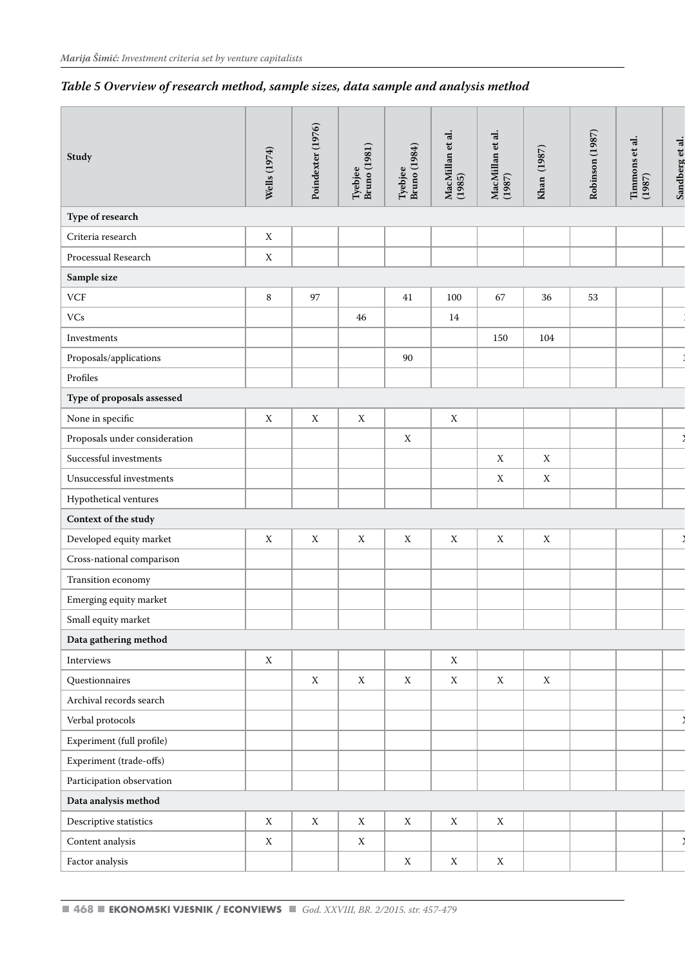# *Table 5 Overview of research method, sample sizes, data sample and analysis method*

| Study                                                                             | Wells (1974) | Poindexter (1976) | Tyebjee<br>Bruno (1981) | Tyebjee<br>Bruno (1984) | MacMillan et al.<br>(1985) | MacMillan et al.<br>(1987) | Khan (1987)               | Robinson (1987) | Timmons et al.<br>(1987) | Sandberg et al. |
|-----------------------------------------------------------------------------------|--------------|-------------------|-------------------------|-------------------------|----------------------------|----------------------------|---------------------------|-----------------|--------------------------|-----------------|
| Type of research                                                                  |              |                   |                         |                         |                            |                            |                           |                 |                          |                 |
| Criteria research                                                                 | $\mathbf X$  |                   |                         |                         |                            |                            |                           |                 |                          |                 |
| Processual Research                                                               | $\mathbf X$  |                   |                         |                         |                            |                            |                           |                 |                          |                 |
| Sample size                                                                       |              |                   |                         |                         |                            |                            |                           |                 |                          |                 |
| VCF                                                                               | 8            | 97                |                         | 41                      | 100                        | 67                         | 36                        | 53              |                          |                 |
| $\ensuremath{\text{VCs}}$                                                         |              |                   | 46                      |                         | 14                         |                            |                           |                 |                          |                 |
| Investments                                                                       |              |                   |                         |                         |                            | 150                        | 104                       |                 |                          |                 |
| $\ensuremath{\mathsf{Prop}}\xspace$ sals/applications                             |              |                   |                         | 90                      |                            |                            |                           |                 |                          |                 |
| Profiles                                                                          |              |                   |                         |                         |                            |                            |                           |                 |                          |                 |
| Type of proposals assessed                                                        |              |                   |                         |                         |                            |                            |                           |                 |                          |                 |
| None in specific                                                                  | $\mathbf X$  | $\mathbf X$       | $\mathbf X$             |                         | $\mathbf X$                |                            |                           |                 |                          |                 |
| Proposals under consideration                                                     |              |                   |                         | $\mathbf X$             |                            |                            |                           |                 |                          |                 |
| Successful investments                                                            |              |                   |                         |                         |                            | $\boldsymbol{\mathrm{X}}$  | $\boldsymbol{\mathrm{X}}$ |                 |                          |                 |
| Unsuccessful investments                                                          |              |                   |                         |                         |                            | $\boldsymbol{\mathrm{X}}$  | $\mathbf X$               |                 |                          |                 |
| Hypothetical ventures                                                             |              |                   |                         |                         |                            |                            |                           |                 |                          |                 |
| Context of the study                                                              |              |                   |                         |                         |                            |                            |                           |                 |                          |                 |
| Developed equity market $% \left\vert \left( \mathbf{r}_{i}\right) \right\rangle$ | $\mathbf X$  | $\mathbf x$       | $\mathbf X$             | $\mathbf X$             | $\mathbf X$                | $\mathbf x$                | $\mathbf X$               |                 |                          |                 |
| Cross-national comparison                                                         |              |                   |                         |                         |                            |                            |                           |                 |                          |                 |
| Transition economy                                                                |              |                   |                         |                         |                            |                            |                           |                 |                          |                 |
| Emerging equity market $% \left\vert \left( \mathbf{r}_{1}\right) \right\rangle$  |              |                   |                         |                         |                            |                            |                           |                 |                          |                 |
| Small equity market                                                               |              |                   |                         |                         |                            |                            |                           |                 |                          |                 |
| Data gathering method                                                             |              |                   |                         |                         |                            |                            |                           |                 |                          |                 |
| Interviews                                                                        | $\mathbf X$  |                   |                         |                         | $\mathbf x$                |                            |                           |                 |                          |                 |
| Questionnaires                                                                    |              | $\mathbf x$       | $\mathbf X$             | X                       | X                          | $\mathbf x$                | $\mathbf X$               |                 |                          |                 |
| Archival records search                                                           |              |                   |                         |                         |                            |                            |                           |                 |                          |                 |
| Verbal protocols                                                                  |              |                   |                         |                         |                            |                            |                           |                 |                          |                 |
| Experiment (full profile)                                                         |              |                   |                         |                         |                            |                            |                           |                 |                          |                 |
| Experiment (trade-offs)                                                           |              |                   |                         |                         |                            |                            |                           |                 |                          |                 |
| Participation observation                                                         |              |                   |                         |                         |                            |                            |                           |                 |                          |                 |
| Data analysis method                                                              |              |                   |                         |                         |                            |                            |                           |                 |                          |                 |
| $\operatorname{Descriptive\ statistics}$                                          | $\mathbf X$  | $\mathbf X$       | $\mathbf X$             | X                       | $\mathbf X$                | $\mathbf X$                |                           |                 |                          |                 |
| Content analysis                                                                  | $\mathbf X$  |                   | $\mathbf X$             |                         |                            |                            |                           |                 |                          |                 |
| Factor analysis                                                                   |              |                   |                         | $\mathbf X$             | $\mathbf X$                | $\mathbf X$                |                           |                 |                          |                 |
|                                                                                   |              |                   |                         |                         |                            |                            |                           |                 |                          |                 |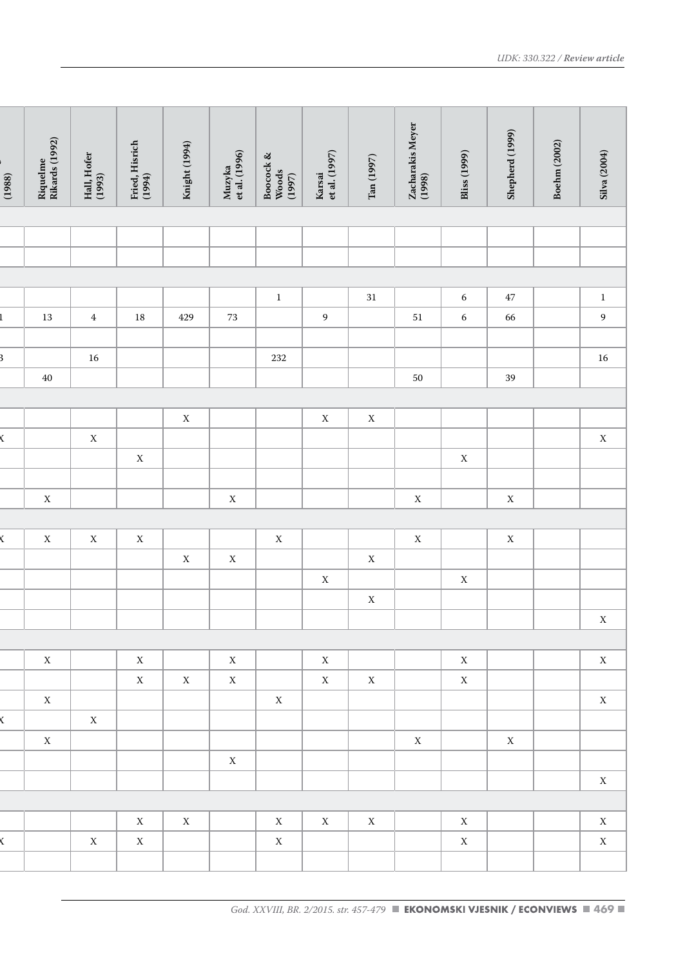| (1988) | Riquelme<br>Rikards (1992) | Hall, Hofer<br>(1993) | Fried, Hisrich<br>(1994) | Knight (1994) | Muzyka<br>et al. (1996) | $\begin{array}{c} \text{Bococok \&} \\ \text{Woods} \\ \text{(1997)} \end{array}$ | Karsai<br>et al. (1997) | $\mathrm{Tan}\left(1997\right)$ | Zacharakis Meyer<br>(1998) | Bliss (1999) | Shepherd (1999) | Boehm (2002) | $\rm Silva$ $(2004)$ |
|--------|----------------------------|-----------------------|--------------------------|---------------|-------------------------|-----------------------------------------------------------------------------------|-------------------------|---------------------------------|----------------------------|--------------|-----------------|--------------|----------------------|
|        |                            |                       |                          |               |                         |                                                                                   |                         |                                 |                            |              |                 |              |                      |
|        |                            |                       |                          |               |                         |                                                                                   |                         |                                 |                            |              |                 |              |                      |
|        |                            |                       |                          |               |                         |                                                                                   |                         |                                 |                            |              |                 |              |                      |
|        |                            |                       |                          |               |                         | $\overline{1}$                                                                    |                         | 31                              |                            | 6            | 47              |              | $\overline{1}$       |
|        | 13                         | $\overline{4}$        | $18\,$                   | 429           | $73\,$                  |                                                                                   | 9                       |                                 | $51\,$                     | 6            | 66              |              | $\overline{9}$       |
|        |                            |                       |                          |               |                         |                                                                                   |                         |                                 |                            |              |                 |              |                      |
|        |                            | 16                    |                          |               |                         | 232                                                                               |                         |                                 |                            |              |                 |              | $16\,$               |
|        | 40                         |                       |                          |               |                         |                                                                                   |                         |                                 | $50\,$                     |              | $39\,$          |              |                      |
|        |                            |                       |                          |               |                         |                                                                                   |                         |                                 |                            |              |                 |              |                      |
|        |                            |                       |                          | $\mathbf X$   |                         |                                                                                   | $\mathbf X$             | $\mathbf X$                     |                            |              |                 |              |                      |
| K.     |                            | $\mathbf X$           |                          |               |                         |                                                                                   |                         |                                 |                            |              |                 |              | $\mathbf X$          |
|        |                            |                       | $\mathbf X$              |               |                         |                                                                                   |                         |                                 |                            | $\mathbf X$  |                 |              |                      |
|        |                            |                       |                          |               |                         |                                                                                   |                         |                                 |                            |              |                 |              |                      |
|        | $\mathbf X$                |                       |                          |               | $\mathbf X$             |                                                                                   |                         |                                 | $\mathbf X$                |              | $\mathbf X$     |              |                      |
|        |                            |                       |                          |               |                         |                                                                                   |                         |                                 |                            |              |                 |              |                      |
|        | $\mathbf X$                | $\mathbf X$           | $\mathbf X$              |               |                         | $\mathbf X$                                                                       |                         |                                 | $\mathbf X$                |              | $\mathbf X$     |              |                      |
|        |                            |                       |                          | $\mathbf X$   | $\mathbf X$             |                                                                                   |                         | $\mathbf X$                     |                            |              |                 |              |                      |
|        |                            |                       |                          |               |                         |                                                                                   | $\mathbf X$             |                                 |                            | $\mathbf X$  |                 |              |                      |
|        |                            |                       |                          |               |                         |                                                                                   |                         | $\mathbf X$                     |                            |              |                 |              | $\mathbf X$          |
|        |                            |                       |                          |               |                         |                                                                                   |                         |                                 |                            |              |                 |              |                      |
|        | $\mathbf X$                |                       | $\mathbf X$              |               | $\mathbf X$             |                                                                                   | $\mathbf X$             |                                 |                            | $\mathbf X$  |                 |              | $\mathbf X$          |
|        |                            |                       | $\mathbf X$              | $\mathbf X$   | $\mathbf X$             |                                                                                   | $\mathbf X$             | $\mathbf X$                     |                            | $\mathbf X$  |                 |              |                      |
|        | $\mathbf X$                |                       |                          |               |                         | $\mathbf x$                                                                       |                         |                                 |                            |              |                 |              | $\mathbf X$          |
|        |                            | $\mathbf X$           |                          |               |                         |                                                                                   |                         |                                 |                            |              |                 |              |                      |
|        | $\mathbf X$                |                       |                          |               |                         |                                                                                   |                         |                                 | $\mathbf X$                |              | $\mathbf X$     |              |                      |
|        |                            |                       |                          |               | $\mathbf X$             |                                                                                   |                         |                                 |                            |              |                 |              |                      |
|        |                            |                       |                          |               |                         |                                                                                   |                         |                                 |                            |              |                 |              | $\mathbf X$          |
|        |                            |                       |                          |               |                         |                                                                                   |                         |                                 |                            |              |                 |              |                      |
|        |                            |                       | $\mathbf X$              | $\mathbf X$   |                         | $\mathbf X$                                                                       | $\mathbf{X}$            | $\mathbf{X}$                    |                            | $\mathbf x$  |                 |              | $\mathbf X$          |
|        |                            | $\mathbf X$           | $\mathbf X$              |               |                         | $\mathbf X$                                                                       |                         |                                 |                            | $\mathbf X$  |                 |              | $\mathbf X$          |
|        |                            |                       |                          |               |                         |                                                                                   |                         |                                 |                            |              |                 |              |                      |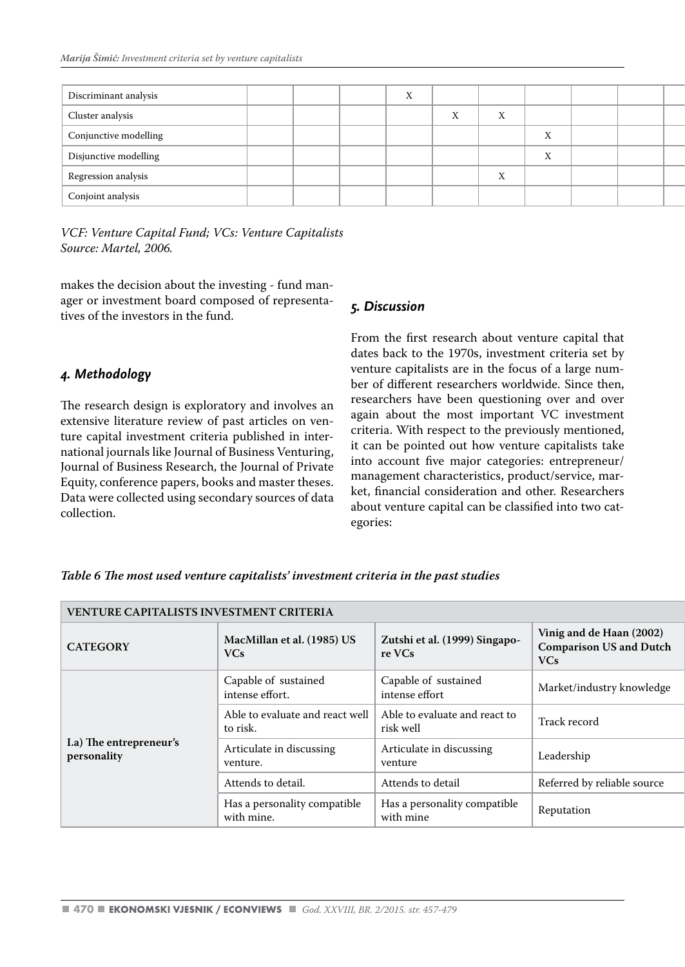| Discriminant analysis |  | $\Lambda$ |           |        |                            |  |  |
|-----------------------|--|-----------|-----------|--------|----------------------------|--|--|
| Cluster analysis      |  |           | $\lambda$ |        |                            |  |  |
| Conjunctive modelling |  |           |           |        | $\sim$ $\sim$<br>$\Lambda$ |  |  |
| Disjunctive modelling |  |           |           |        | $\sim$ $\sim$<br>$\Lambda$ |  |  |
| Regression analysis   |  |           |           | $\sim$ |                            |  |  |
| Conjoint analysis     |  |           |           |        |                            |  |  |

*VCF: Venture Capital Fund; VCs: Venture Capitalists Source: Martel, 2006.*

makes the decision about the investing - fund manager or investment board composed of representatives of the investors in the fund.

#### *4. Methodology*

The research design is exploratory and involves an extensive literature review of past articles on venture capital investment criteria published in international journals like Journal of Business Venturing, Journal of Business Research, the Journal of Private Equity, conference papers, books and master theses. Data were collected using secondary sources of data collection.

#### *5. Discussion*

From the first research about venture capital that dates back to the 1970s, investment criteria set by venture capitalists are in the focus of a large number of different researchers worldwide. Since then, researchers have been questioning over and over again about the most important VC investment criteria. With respect to the previously mentioned, it can be pointed out how venture capitalists take into account five major categories: entrepreneur/ management characteristics, product/service, market, financial consideration and other. Researchers about venture capital can be classified into two categories:

*Table 6 The most used venture capitalists' investment criteria in the past studies*

| VENTURE CAPITALISTS INVESTMENT CRITERIA |                                             |                                            |                                                                          |
|-----------------------------------------|---------------------------------------------|--------------------------------------------|--------------------------------------------------------------------------|
| <b>CATEGORY</b>                         | MacMillan et al. (1985) US<br><b>VCs</b>    | Zutshi et al. (1999) Singapo-<br>re VCs    | Vinig and de Haan (2002)<br><b>Comparison US and Dutch</b><br><b>VCs</b> |
| I.a) The entrepreneur's<br>personality  | Capable of sustained<br>intense effort.     | Capable of sustained<br>intense effort     | Market/industry knowledge                                                |
|                                         | Able to evaluate and react well<br>to risk. | Able to evaluate and react to<br>risk well | Track record                                                             |
|                                         | Articulate in discussing<br>venture.        | Articulate in discussing<br>venture        | Leadership                                                               |
|                                         | Attends to detail.                          | Attends to detail                          | Referred by reliable source                                              |
|                                         | Has a personality compatible<br>with mine.  | Has a personality compatible<br>with mine  | Reputation                                                               |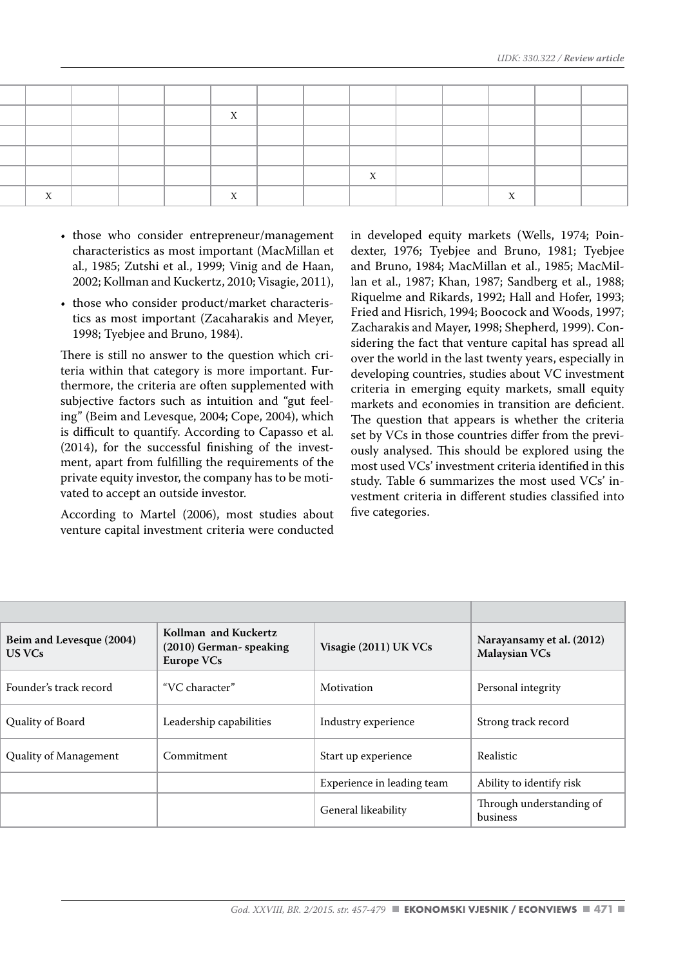|  |  | the contract of the contract of the contract of the contract of the contract of the contract of the contract of | the contract of the contract of the contract of the contract of the contract of the contract of the contract of |                                                                                                                 |                      | the contract of the contract of the contract of the contract of the contract of |  | the contract of the contract of the contract of |  |
|--|--|-----------------------------------------------------------------------------------------------------------------|-----------------------------------------------------------------------------------------------------------------|-----------------------------------------------------------------------------------------------------------------|----------------------|---------------------------------------------------------------------------------|--|-------------------------------------------------|--|
|  |  |                                                                                                                 |                                                                                                                 |                                                                                                                 |                      |                                                                                 |  |                                                 |  |
|  |  | the contract of the contract of the contract of the contract of the contract of the contract of the contract of | the contract of the contract of the contract of the contract of the contract of the contract of the contract of |                                                                                                                 |                      |                                                                                 |  |                                                 |  |
|  |  |                                                                                                                 |                                                                                                                 |                                                                                                                 |                      |                                                                                 |  |                                                 |  |
|  |  |                                                                                                                 | the contract of the contract of the contract of the contract of the contract of                                 | the contract of the contract of the contract of the contract of the contract of the contract of the contract of | $\sqrt{1}$<br>______ |                                                                                 |  |                                                 |  |
|  |  |                                                                                                                 |                                                                                                                 |                                                                                                                 |                      |                                                                                 |  |                                                 |  |

- those who consider entrepreneur/management characteristics as most important (MacMillan et al., 1985; Zutshi et al., 1999; Vinig and de Haan, 2002; Kollman and Kuckertz, 2010; Visagie, 2011),
- those who consider product/market characteristics as most important (Zacaharakis and Meyer, 1998; Tyebjee and Bruno, 1984).

There is still no answer to the question which criteria within that category is more important. Furthermore, the criteria are often supplemented with subjective factors such as intuition and "gut feeling" (Beim and Levesque, 2004; Cope, 2004), which is difficult to quantify. According to Capasso et al. (2014), for the successful finishing of the investment, apart from fulfilling the requirements of the private equity investor, the company has to be motivated to accept an outside investor.

According to Martel (2006), most studies about venture capital investment criteria were conducted in developed equity markets (Wells, 1974; Poindexter, 1976; Tyebjee and Bruno, 1981; Tyebjee and Bruno, 1984; MacMillan et al., 1985; MacMillan et al., 1987; Khan, 1987; Sandberg et al., 1988; Riquelme and Rikards, 1992; Hall and Hofer, 1993; Fried and Hisrich, 1994; Boocock and Woods, 1997; Zacharakis and Mayer, 1998; Shepherd, 1999). Considering the fact that venture capital has spread all over the world in the last twenty years, especially in developing countries, studies about VC investment criteria in emerging equity markets, small equity markets and economies in transition are deficient. The question that appears is whether the criteria set by VCs in those countries differ from the previously analysed. This should be explored using the most used VCs' investment criteria identified in this study. Table 6 summarizes the most used VCs' investment criteria in different studies classified into five categories.

| Beim and Levesque (2004)<br>US VCs | Kollman and Kuckertz<br>$(2010)$ German-speaking<br>Europe VCs | Visagie (2011) UK VCs      | Narayansamy et al. (2012)<br>Malaysian VCs |
|------------------------------------|----------------------------------------------------------------|----------------------------|--------------------------------------------|
| Founder's track record             | "VC character"                                                 | Motivation                 | Personal integrity                         |
| Quality of Board                   | Leadership capabilities                                        | Industry experience        | Strong track record                        |
| Quality of Management              | Commitment                                                     | Start up experience        | Realistic                                  |
|                                    |                                                                | Experience in leading team | Ability to identify risk                   |
|                                    |                                                                | General likeability        | Through understanding of<br>business       |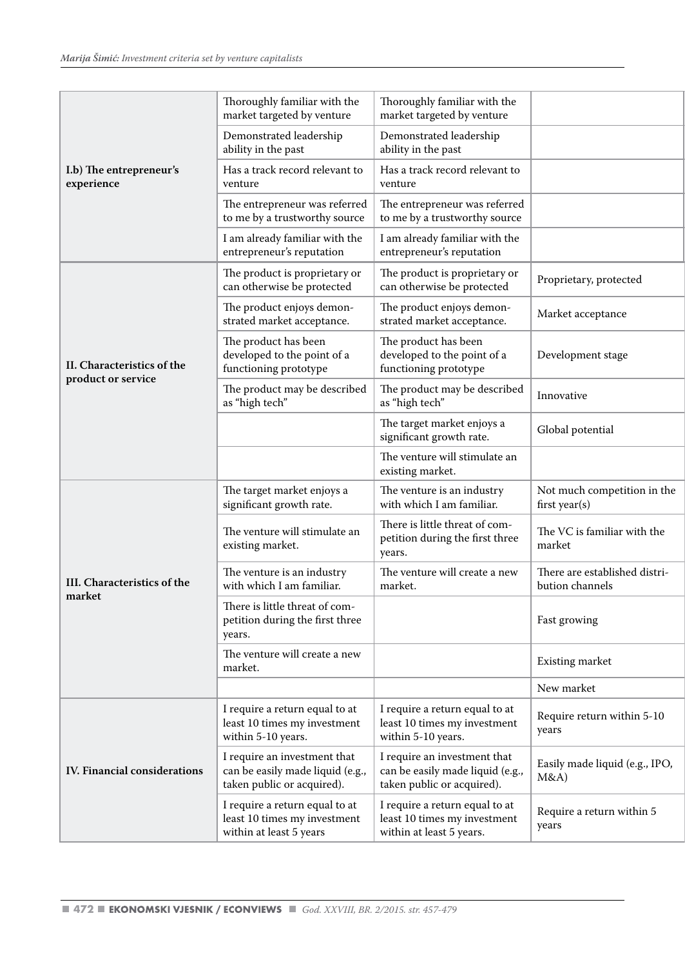| I.b) The entrepreneur's<br>experience | Thoroughly familiar with the<br>market targeted by venture                                     | Thoroughly familiar with the<br>market targeted by venture                                     |                                                  |
|---------------------------------------|------------------------------------------------------------------------------------------------|------------------------------------------------------------------------------------------------|--------------------------------------------------|
|                                       | Demonstrated leadership<br>ability in the past                                                 | Demonstrated leadership<br>ability in the past                                                 |                                                  |
|                                       | Has a track record relevant to<br>venture                                                      | Has a track record relevant to<br>venture                                                      |                                                  |
|                                       | The entrepreneur was referred<br>to me by a trustworthy source                                 | The entrepreneur was referred<br>to me by a trustworthy source                                 |                                                  |
|                                       | I am already familiar with the<br>entrepreneur's reputation                                    | I am already familiar with the<br>entrepreneur's reputation                                    |                                                  |
|                                       | The product is proprietary or<br>can otherwise be protected                                    | The product is proprietary or<br>can otherwise be protected                                    | Proprietary, protected                           |
|                                       | The product enjoys demon-<br>strated market acceptance.                                        | The product enjoys demon-<br>strated market acceptance.                                        | Market acceptance                                |
| II. Characteristics of the            | The product has been<br>developed to the point of a<br>functioning prototype                   | The product has been<br>developed to the point of a<br>functioning prototype                   | Development stage                                |
| product or service                    | The product may be described<br>as "high tech"                                                 | The product may be described<br>as "high tech"                                                 | Innovative                                       |
|                                       |                                                                                                | The target market enjoys a<br>significant growth rate.                                         | Global potential                                 |
|                                       |                                                                                                | The venture will stimulate an<br>existing market.                                              |                                                  |
|                                       | The target market enjoys a<br>significant growth rate.                                         | The venture is an industry<br>with which I am familiar.                                        | Not much competition in the<br>first year(s)     |
|                                       | The venture will stimulate an<br>existing market.                                              | There is little threat of com-<br>petition during the first three<br>years.                    | The VC is familiar with the<br>market            |
| III. Characteristics of the<br>market | The venture is an industry<br>with which I am familiar.                                        | The venture will create a new<br>market.                                                       | There are established distri-<br>bution channels |
|                                       | There is little threat of com-<br>petition during the first three<br>years.                    |                                                                                                | Fast growing                                     |
|                                       | The venture will create a new<br>market.                                                       |                                                                                                | Existing market                                  |
|                                       |                                                                                                |                                                                                                | New market                                       |
|                                       | I require a return equal to at<br>least 10 times my investment<br>within 5-10 years.           | I require a return equal to at<br>least 10 times my investment<br>within 5-10 years.           | Require return within 5-10<br>years              |
| IV. Financial considerations          | I require an investment that<br>can be easily made liquid (e.g.,<br>taken public or acquired). | I require an investment that<br>can be easily made liquid (e.g.,<br>taken public or acquired). | Easily made liquid (e.g., IPO,<br>M&A)           |
|                                       | I require a return equal to at<br>least 10 times my investment<br>within at least 5 years      | I require a return equal to at<br>least 10 times my investment<br>within at least 5 years.     | Require a return within 5<br>years               |
|                                       |                                                                                                |                                                                                                |                                                  |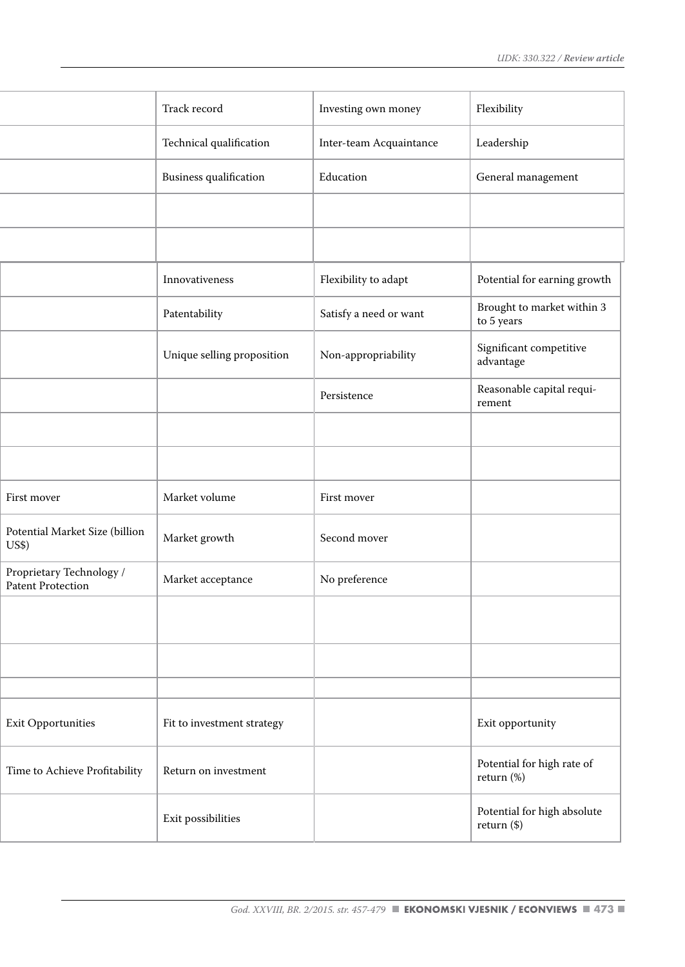|                                               | Track record               | Investing own money     | Flexibility                                |
|-----------------------------------------------|----------------------------|-------------------------|--------------------------------------------|
|                                               | Technical qualification    | Inter-team Acquaintance | Leadership                                 |
|                                               | Business qualification     | Education               | General management                         |
|                                               |                            |                         |                                            |
|                                               |                            |                         |                                            |
|                                               | Innovativeness             | Flexibility to adapt    | Potential for earning growth               |
|                                               | Patentability              | Satisfy a need or want  | Brought to market within 3<br>to 5 years   |
|                                               | Unique selling proposition | Non-appropriability     | Significant competitive<br>advantage       |
|                                               |                            | Persistence             | Reasonable capital requi-<br>rement        |
|                                               |                            |                         |                                            |
|                                               |                            |                         |                                            |
| First mover                                   | Market volume              | First mover             |                                            |
| Potential Market Size (billion<br>US\$)       | Market growth              | Second mover            |                                            |
| Proprietary Technology /<br>Patent Protection | Market acceptance          | No preference           |                                            |
|                                               |                            |                         |                                            |
|                                               |                            |                         |                                            |
|                                               |                            |                         |                                            |
| Exit Opportunities                            | Fit to investment strategy |                         | Exit opportunity                           |
| Time to Achieve Profitability                 | Return on investment       |                         | Potential for high rate of<br>return (%)   |
|                                               | Exit possibilities         |                         | Potential for high absolute<br>return (\$) |
|                                               |                            |                         |                                            |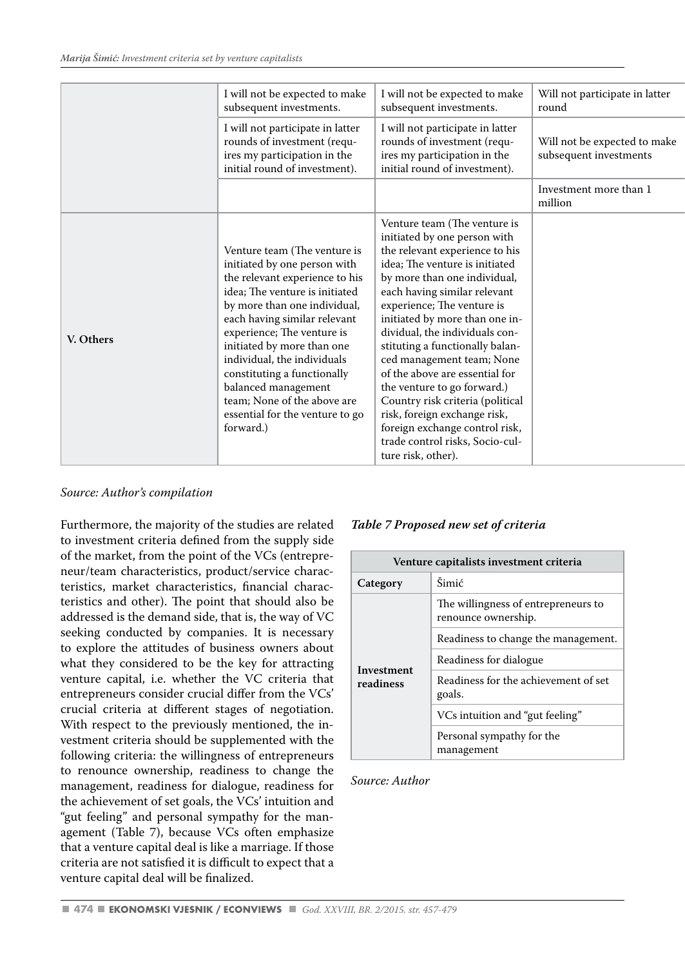|           | I will not be expected to make<br>subsequent investments.                                                                                                                                                                                                                                                                                                                                                                        | I will not be expected to make<br>subsequent investments.                                                                                                                                                                                                                                                                                                                                                                                                                                                                                                                                          | Will not participate in latter<br>round                |
|-----------|----------------------------------------------------------------------------------------------------------------------------------------------------------------------------------------------------------------------------------------------------------------------------------------------------------------------------------------------------------------------------------------------------------------------------------|----------------------------------------------------------------------------------------------------------------------------------------------------------------------------------------------------------------------------------------------------------------------------------------------------------------------------------------------------------------------------------------------------------------------------------------------------------------------------------------------------------------------------------------------------------------------------------------------------|--------------------------------------------------------|
|           | I will not participate in latter<br>rounds of investment (requ-<br>ires my participation in the<br>initial round of investment).                                                                                                                                                                                                                                                                                                 | I will not participate in latter<br>rounds of investment (requ-<br>ires my participation in the<br>initial round of investment).                                                                                                                                                                                                                                                                                                                                                                                                                                                                   | Will not be expected to make<br>subsequent investments |
|           |                                                                                                                                                                                                                                                                                                                                                                                                                                  |                                                                                                                                                                                                                                                                                                                                                                                                                                                                                                                                                                                                    | Investment more than 1<br>million                      |
| V. Others | Venture team (The venture is<br>initiated by one person with<br>the relevant experience to his<br>idea; The venture is initiated<br>by more than one individual,<br>each having similar relevant<br>experience; The venture is<br>initiated by more than one<br>individual, the individuals<br>constituting a functionally<br>balanced management<br>team; None of the above are<br>essential for the venture to go<br>forward.) | Venture team (The venture is<br>initiated by one person with<br>the relevant experience to his<br>idea: The venture is initiated<br>by more than one individual,<br>each having similar relevant<br>experience; The venture is<br>initiated by more than one in-<br>dividual, the individuals con-<br>stituting a functionally balan-<br>ced management team; None<br>of the above are essential for<br>the venture to go forward.)<br>Country risk criteria (political<br>risk, foreign exchange risk,<br>foreign exchange control risk,<br>trade control risks, Socio-cul-<br>ture risk, other). |                                                        |

#### *Source: Author's compilation*

Furthermore, the majority of the studies are related to investment criteria defined from the supply side of the market, from the point of the VCs (entrepreneur/team characteristics, product/service characteristics, market characteristics, financial characteristics and other). The point that should also be addressed is the demand side, that is, the way of VC seeking conducted by companies. It is necessary to explore the attitudes of business owners about what they considered to be the key for attracting venture capital, i.e. whether the VC criteria that entrepreneurs consider crucial differ from the VCs' crucial criteria at different stages of negotiation. With respect to the previously mentioned, the investment criteria should be supplemented with the following criteria: the willingness of entrepreneurs to renounce ownership, readiness to change the management, readiness for dialogue, readiness for the achievement of set goals, the VCs' intuition and "gut feeling" and personal sympathy for the management (Table 7), because VCs often emphasize that a venture capital deal is like a marriage. If those criteria are not satisfied it is difficult to expect that a venture capital deal will be finalized.

*Table 7 Proposed new set of criteria*

| Venture capitalists investment criteria |                                                            |  |  |  |  |  |  |
|-----------------------------------------|------------------------------------------------------------|--|--|--|--|--|--|
| Category                                | Šimić                                                      |  |  |  |  |  |  |
|                                         | The willingness of entrepreneurs to<br>renounce ownership. |  |  |  |  |  |  |
|                                         | Readiness to change the management.                        |  |  |  |  |  |  |
| Investment                              | Readiness for dialogue                                     |  |  |  |  |  |  |
| readiness                               | Readiness for the achievement of set<br>goals.             |  |  |  |  |  |  |
|                                         | VCs intuition and "gut feeling"                            |  |  |  |  |  |  |
|                                         | Personal sympathy for the<br>management                    |  |  |  |  |  |  |

*Source: Author*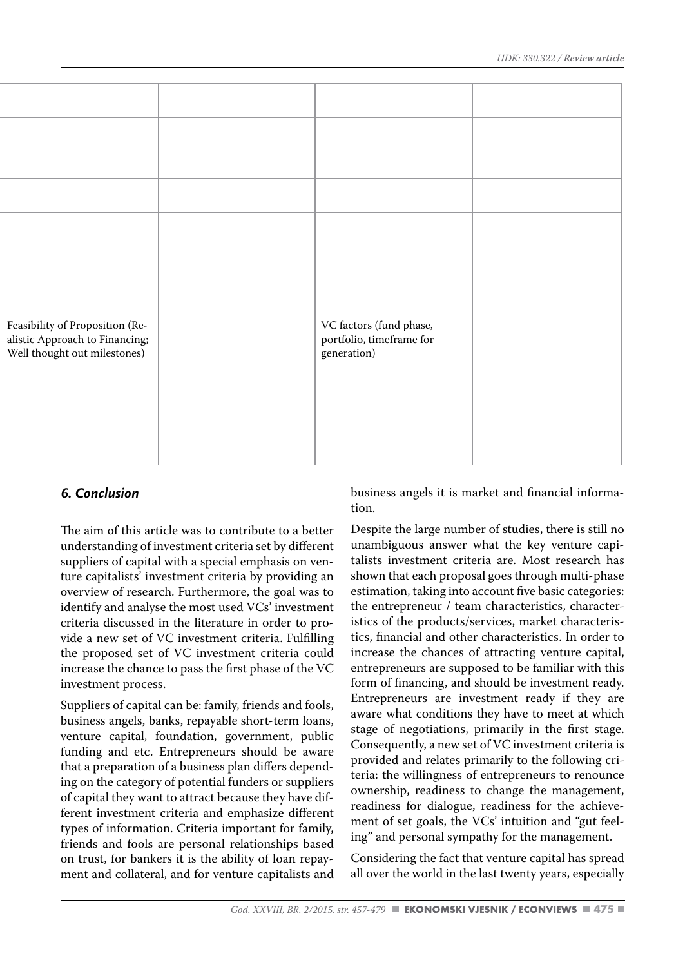| Feasibility of Proposition (Re-<br>alistic Approach to Financing;<br>Well thought out milestones) | VC factors (fund phase,<br>portfolio, timeframe for<br>generation) |  |
|---------------------------------------------------------------------------------------------------|--------------------------------------------------------------------|--|

# *Source: Author's compilation 6. Conclusion*

The aim of this article was to contribute to a better understanding of investment criteria set by different suppliers of capital with a special emphasis on venture capitalists' investment criteria by providing an overview of research. Furthermore, the goal was to identify and analyse the most used VCs' investment criteria discussed in the literature in order to provide a new set of VC investment criteria. Fulfilling the proposed set of VC investment criteria could increase the chance to pass the first phase of the VC investment process.

Suppliers of capital can be: family, friends and fools, business angels, banks, repayable short-term loans, venture capital, foundation, government, public funding and etc. Entrepreneurs should be aware that a preparation of a business plan differs depending on the category of potential funders or suppliers of capital they want to attract because they have different investment criteria and emphasize different types of information. Criteria important for family, friends and fools are personal relationships based on trust, for bankers it is the ability of loan repayment and collateral, and for venture capitalists and

business angels it is market and financial information.

Despite the large number of studies, there is still no unambiguous answer what the key venture capitalists investment criteria are. Most research has shown that each proposal goes through multi-phase estimation, taking into account five basic categories: the entrepreneur / team characteristics, characteristics of the products/services, market characteristics, financial and other characteristics. In order to increase the chances of attracting venture capital, entrepreneurs are supposed to be familiar with this form of financing, and should be investment ready. Entrepreneurs are investment ready if they are aware what conditions they have to meet at which stage of negotiations, primarily in the first stage. Consequently, a new set of VC investment criteria is provided and relates primarily to the following criteria: the willingness of entrepreneurs to renounce ownership, readiness to change the management, readiness for dialogue, readiness for the achievement of set goals, the VCs' intuition and "gut feeling" and personal sympathy for the management.

Considering the fact that venture capital has spread all over the world in the last twenty years, especially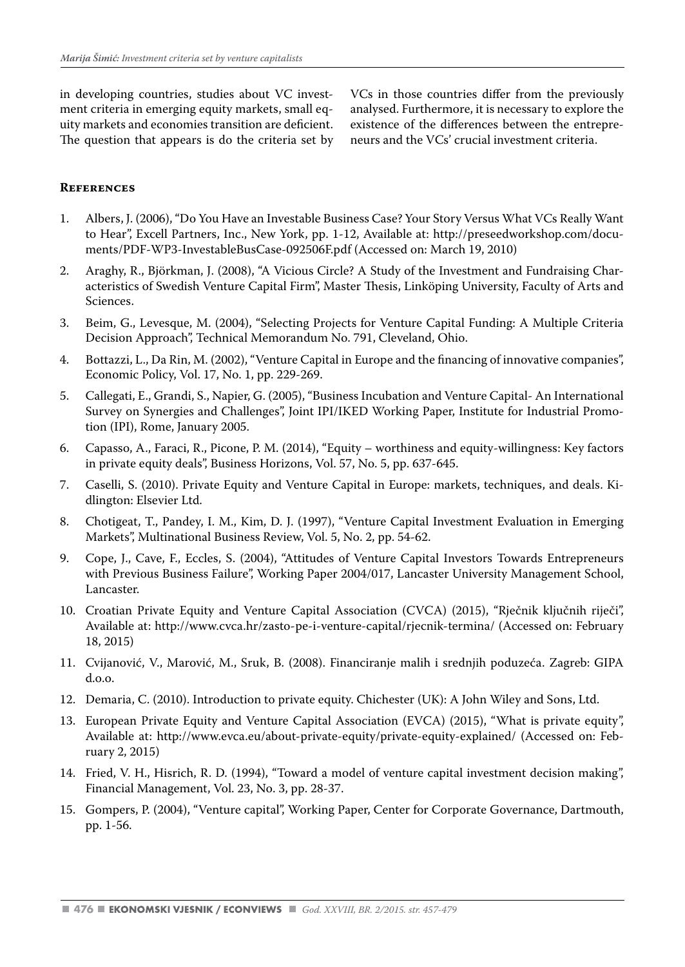in developing countries, studies about VC investment criteria in emerging equity markets, small equity markets and economies transition are deficient. The question that appears is do the criteria set by VCs in those countries differ from the previously analysed. Furthermore, it is necessary to explore the existence of the differences between the entrepreneurs and the VCs' crucial investment criteria.

#### **References**

- 1. Albers, J. (2006), "Do You Have an Investable Business Case? Your Story Versus What VCs Really Want to Hear", Excell Partners, Inc., New York, pp. 1-12, Available at: http://preseedworkshop.com/documents/PDF-WP3-InvestableBusCase-092506F.pdf (Accessed on: March 19, 2010)
- 2. Araghy, R., Björkman, J. (2008), "A Vicious Circle? A Study of the Investment and Fundraising Characteristics of Swedish Venture Capital Firm", Master Thesis, Linköping University, Faculty of Arts and Sciences.
- 3. Beim, G., Levesque, M. (2004), "Selecting Projects for Venture Capital Funding: A Multiple Criteria Decision Approach", Technical Memorandum No. 791, Cleveland, Ohio.
- 4. Bottazzi, L., Da Rin, M. (2002), "Venture Capital in Europe and the financing of innovative companies", Economic Policy, Vol. 17, No. 1, pp. 229-269.
- 5. Callegati, E., Grandi, S., Napier, G. (2005), "Business Incubation and Venture Capital- An International Survey on Synergies and Challenges", Joint IPI/IKED Working Paper, Institute for Industrial Promotion (IPI), Rome, January 2005.
- 6. Capasso, A., Faraci, R., Picone, P. M. (2014), "Equity worthiness and equity-willingness: Key factors in private equity deals", Business Horizons, Vol. 57, No. 5, pp. 637-645.
- 7. Caselli, S. (2010). Private Equity and Venture Capital in Europe: markets, techniques, and deals. Kidlington: Elsevier Ltd.
- 8. Chotigeat, T., Pandey, I. M., Kim, D. J. (1997), "Venture Capital Investment Evaluation in Emerging Markets", Multinational Business Review, Vol. 5, No. 2, pp. 54-62.
- 9. Cope, J., Cave, F., Eccles, S. (2004), "Attitudes of Venture Capital Investors Towards Entrepreneurs with Previous Business Failure", Working Paper 2004/017, Lancaster University Management School, Lancaster.
- 10. Croatian Private Equity and Venture Capital Association (CVCA) (2015), "Rječnik ključnih riječi", Available at: http://www.cvca.hr/zasto-pe-i-venture-capital/rjecnik-termina/ (Accessed on: February 18, 2015)
- 11. Cvijanović, V., Marović, M., Sruk, B. (2008). Financiranje malih i srednjih poduzeća. Zagreb: GIPA d.o.o.
- 12. Demaria, C. (2010). Introduction to private equity. Chichester (UK): A John Wiley and Sons, Ltd.
- 13. European Private Equity and Venture Capital Association (EVCA) (2015), "What is private equity", Available at: http://www.evca.eu/about-private-equity/private-equity-explained/ (Accessed on: February 2, 2015)
- 14. Fried, V. H., Hisrich, R. D. (1994), "Toward a model of venture capital investment decision making", Financial Management, Vol. 23, No. 3, pp. 28-37.
- 15. Gompers, P. (2004), "Venture capital", Working Paper, Center for Corporate Governance, Dartmouth, pp. 1-56.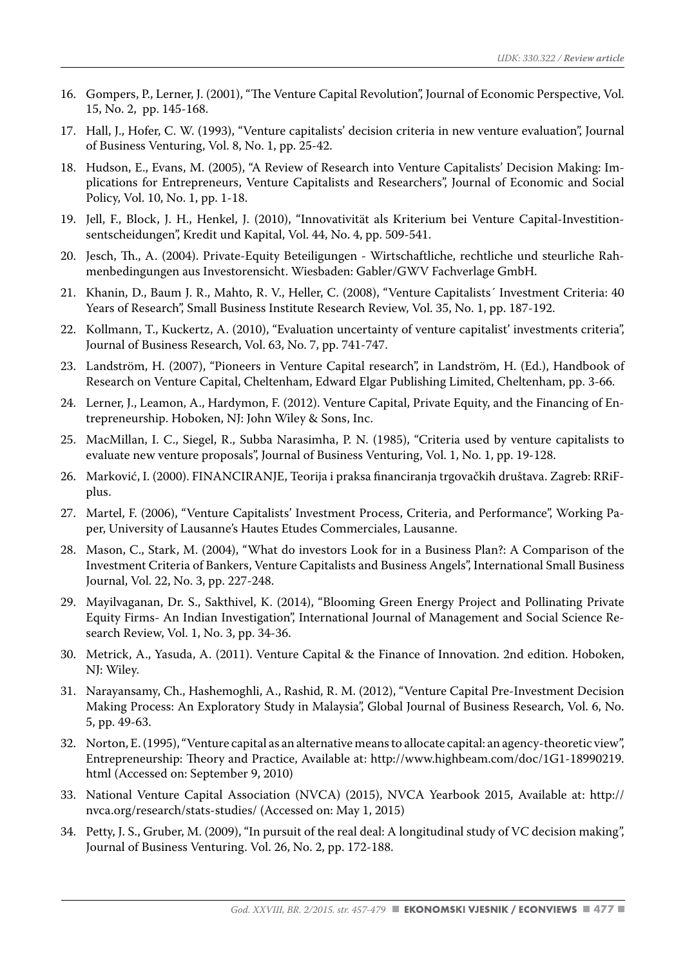- 16. Gompers, P., Lerner, J. (2001), "The Venture Capital Revolution", Journal of Economic Perspective, Vol. 15, No. 2, pp. 145-168.
- 17. Hall, J., Hofer, C. W. (1993), "Venture capitalists' decision criteria in new venture evaluation", Journal of Business Venturing, Vol. 8, No. 1, pp. 25-42.
- 18. Hudson, E., Evans, M. (2005), "A Review of Research into Venture Capitalists' Decision Making: Implications for Entrepreneurs, Venture Capitalists and Researchers", Journal of Economic and Social Policy, Vol. 10, No. 1, pp. 1-18.
- 19. Jell, F., Block, J. H., Henkel, J. (2010), "Innovativität als Kriterium bei Venture Capital-Investitionsentscheidungen", Kredit und Kapital, Vol. 44, No. 4, pp. 509-541.
- 20. Jesch, Th., A. (2004). Private-Equity Beteiligungen Wirtschaftliche, rechtliche und steurliche Rahmenbedingungen aus Investorensicht. Wiesbaden: Gabler/GWV Fachverlage GmbH.
- 21. Khanin, D., Baum J. R., Mahto, R. V., Heller, C. (2008), "Venture Capitalists´ Investment Criteria: 40 Years of Research", Small Business Institute Research Review, Vol. 35, No. 1, pp. 187-192.
- 22. Kollmann, T., Kuckertz, A. (2010), "Evaluation uncertainty of venture capitalist' investments criteria", Journal of Business Research, Vol. 63, No. 7, pp. 741-747.
- 23. Landström, H. (2007), "Pioneers in Venture Capital research", in Landström, H. (Ed.), Handbook of Research on Venture Capital, Cheltenham, Edward Elgar Publishing Limited, Cheltenham, pp. 3-66.
- 24. Lerner, J., Leamon, A., Hardymon, F. (2012). Venture Capital, Private Equity, and the Financing of Entrepreneurship. Hoboken, NJ: John Wiley & Sons, Inc.
- 25. MacMillan, I. C., Siegel, R., Subba Narasimha, P. N. (1985), "Criteria used by venture capitalists to evaluate new venture proposals", Journal of Business Venturing, Vol. 1, No. 1, pp. 19-128.
- 26. Marković, I. (2000). FINANCIRANJE, Teorija i praksa financiranja trgovačkih društava. Zagreb: RRiFplus.
- 27. Martel, F. (2006), "Venture Capitalists' Investment Process, Criteria, and Performance", Working Paper, University of Lausanne's Hautes Etudes Commerciales, Lausanne.
- 28. Mason, C., Stark, M. (2004), "What do investors Look for in a Business Plan?: A Comparison of the Investment Criteria of Bankers, Venture Capitalists and Business Angels", International Small Business Journal, Vol. 22, No. 3, pp. 227-248.
- 29. Mayilvaganan, Dr. S., Sakthivel, K. (2014), "Blooming Green Energy Project and Pollinating Private Equity Firms- An Indian Investigation", International Journal of Management and Social Science Research Review, Vol. 1, No. 3, pp. 34-36.
- 30. Metrick, A., Yasuda, A. (2011). Venture Capital & the Finance of Innovation. 2nd edition. Hoboken, NJ: Wiley.
- 31. Narayansamy, Ch., Hashemoghli, A., Rashid, R. M. (2012), "Venture Capital Pre-Investment Decision Making Process: An Exploratory Study in Malaysia", Global Journal of Business Research, Vol. 6, No. 5, pp. 49-63.
- 32. Norton, E. (1995), "Venture capital as an alternative means to allocate capital: an agency-theoretic view", Entrepreneurship: Theory and Practice, Available at: http://www.highbeam.com/doc/1G1-18990219. html (Accessed on: September 9, 2010)
- 33. National Venture Capital Association (NVCA) (2015), NVCA Yearbook 2015, Available at: http:// nvca.org/research/stats-studies/ (Accessed on: May 1, 2015)
- 34. Petty, J. S., Gruber, M. (2009), "In pursuit of the real deal: A longitudinal study of VC decision making", Journal of Business Venturing. Vol. 26, No. 2, pp. 172-188.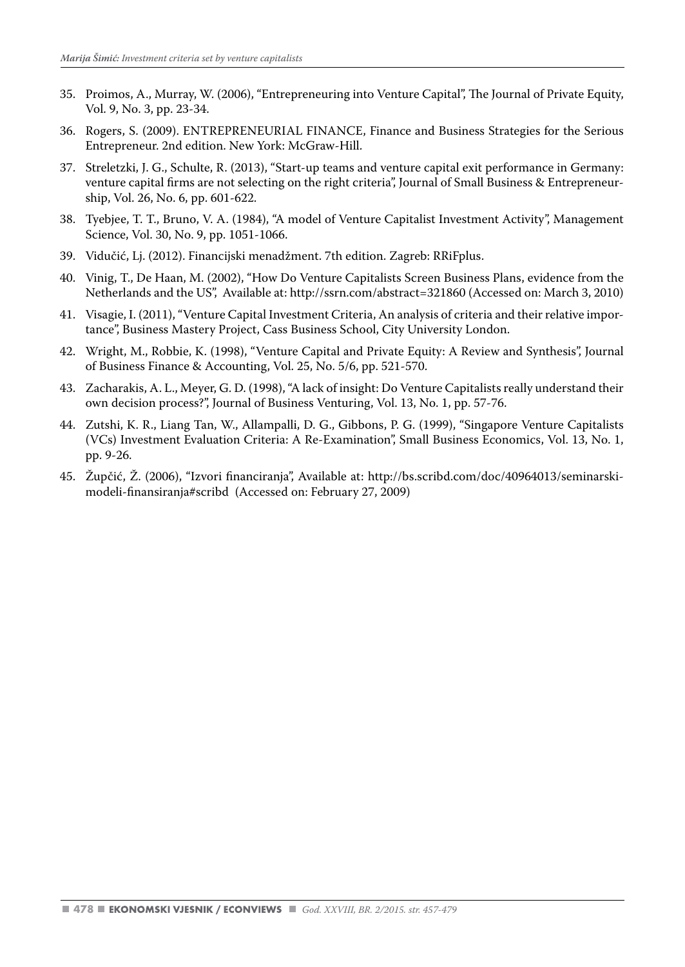- 35. Proimos, A., Murray, W. (2006), "Entrepreneuring into Venture Capital", The Journal of Private Equity, Vol. 9, No. 3, pp. 23-34.
- 36. Rogers, S. (2009). ENTREPRENEURIAL FINANCE, Finance and Business Strategies for the Serious Entrepreneur. 2nd edition. New York: McGraw-Hill.
- 37. Streletzki, J. G., Schulte, R. (2013), "Start-up teams and venture capital exit performance in Germany: venture capital firms are not selecting on the right criteria", Journal of Small Business & Entrepreneurship, Vol. 26, No. 6, pp. 601-622.
- 38. Tyebjee, T. T., Bruno, V. A. (1984), "A model of Venture Capitalist Investment Activity", Management Science, Vol. 30, No. 9, pp. 1051-1066.
- 39. Vidučić, Lj. (2012). Financijski menadžment. 7th edition. Zagreb: RRiFplus.
- 40. Vinig, T., De Haan, M. (2002), "How Do Venture Capitalists Screen Business Plans, evidence from the Netherlands and the US", Available at: http://ssrn.com/abstract=321860 (Accessed on: March 3, 2010)
- 41. Visagie, I. (2011), "Venture Capital Investment Criteria, An analysis of criteria and their relative importance", Business Mastery Project, Cass Business School, City University London.
- 42. Wright, M., Robbie, K. (1998), "Venture Capital and Private Equity: A Review and Synthesis", Journal of Business Finance & Accounting, Vol. 25, No. 5/6, pp. 521-570.
- 43. Zacharakis, A. L., Meyer, G. D. (1998), "A lack of insight: Do Venture Capitalists really understand their own decision process?", Journal of Business Venturing, Vol. 13, No. 1, pp. 57-76.
- 44. Zutshi, K. R., Liang Tan, W., Allampalli, D. G., Gibbons, P. G. (1999), "Singapore Venture Capitalists (VCs) Investment Evaluation Criteria: A Re-Examination", Small Business Economics, Vol. 13, No. 1, pp. 9-26.
- 45. Župčić, Ž. (2006), "Izvori financiranja", Available at: http://bs.scribd.com/doc/40964013/seminarskimodeli-finansiranja#scribd (Accessed on: February 27, 2009)